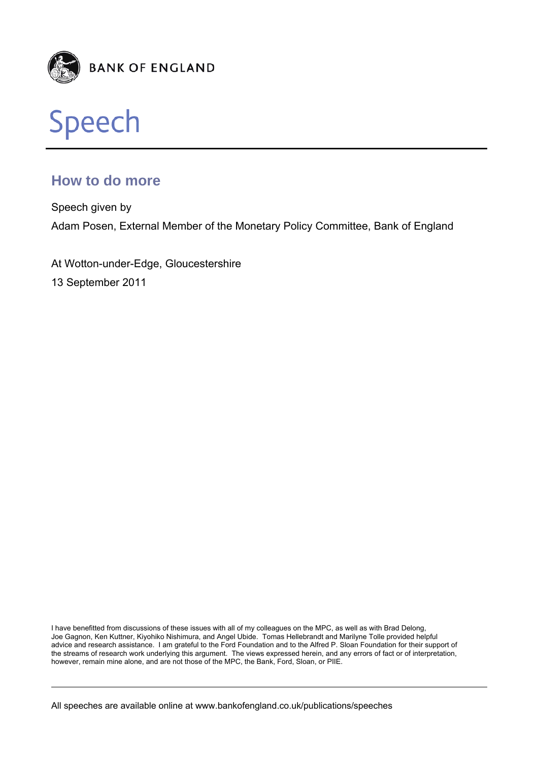



# **How to do more**

Speech given by Adam Posen, External Member of the Monetary Policy Committee, Bank of England

At Wotton-under-Edge, Gloucestershire 13 September 2011

I have benefitted from discussions of these issues with all of my colleagues on the MPC, as well as with Brad Delong, Joe Gagnon, Ken Kuttner, Kiyohiko Nishimura, and Angel Ubide. Tomas Hellebrandt and Marilyne Tolle provided helpful advice and research assistance. I am grateful to the Ford Foundation and to the Alfred P. Sloan Foundation for their support of the streams of research work underlying this argument. The views expressed herein, and any errors of fact or of interpretation, however, remain mine alone, and are not those of the MPC, the Bank, Ford, Sloan, or PIIE.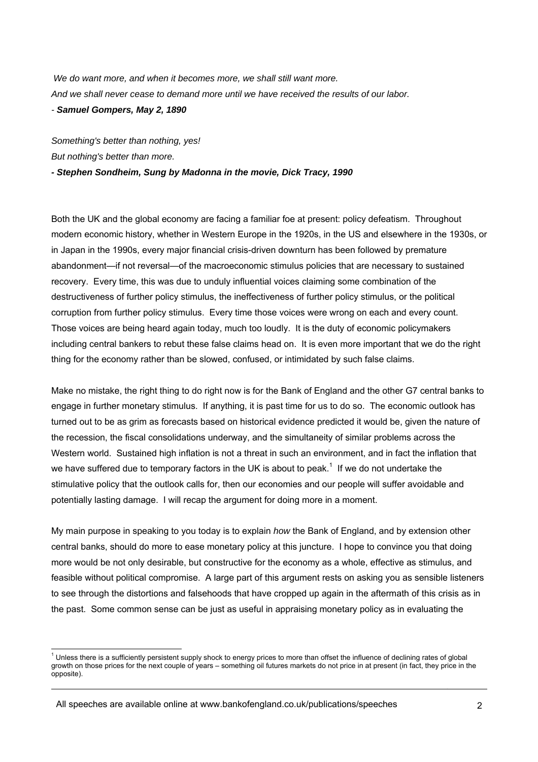*We do want more, and when it becomes more, we shall still want more. And we shall never cease to demand more until we have received the results of our labor. - Samuel Gompers, May 2, 1890* 

*Something's better than nothing, yes! But nothing's better than more.* 

*- Stephen Sondheim, Sung by Madonna in the movie, Dick Tracy, 1990* 

Both the UK and the global economy are facing a familiar foe at present: policy defeatism. Throughout modern economic history, whether in Western Europe in the 1920s, in the US and elsewhere in the 1930s, or in Japan in the 1990s, every major financial crisis-driven downturn has been followed by premature abandonment—if not reversal—of the macroeconomic stimulus policies that are necessary to sustained recovery. Every time, this was due to unduly influential voices claiming some combination of the destructiveness of further policy stimulus, the ineffectiveness of further policy stimulus, or the political corruption from further policy stimulus. Every time those voices were wrong on each and every count. Those voices are being heard again today, much too loudly. It is the duty of economic policymakers including central bankers to rebut these false claims head on. It is even more important that we do the right thing for the economy rather than be slowed, confused, or intimidated by such false claims.

Make no mistake, the right thing to do right now is for the Bank of England and the other G7 central banks to engage in further monetary stimulus. If anything, it is past time for us to do so. The economic outlook has turned out to be as grim as forecasts based on historical evidence predicted it would be, given the nature of the recession, the fiscal consolidations underway, and the simultaneity of similar problems across the Western world. Sustained high inflation is not a threat in such an environment, and in fact the inflation that we have suffered due to temporary factors in the UK is about to peak.<sup>1</sup> If we do not undertake the stimulative policy that the outlook calls for, then our economies and our people will suffer avoidable and potentially lasting damage. I will recap the argument for doing more in a moment.

My main purpose in speaking to you today is to explain *how* the Bank of England, and by extension other central banks, should do more to ease monetary policy at this juncture. I hope to convince you that doing more would be not only desirable, but constructive for the economy as a whole, effective as stimulus, and feasible without political compromise. A large part of this argument rests on asking you as sensible listeners to see through the distortions and falsehoods that have cropped up again in the aftermath of this crisis as in the past. Some common sense can be just as useful in appraising monetary policy as in evaluating the

 $1$  Unless there is a sufficiently persistent supply shock to energy prices to more than offset the influence of declining rates of global growth on those prices for the next couple of years – something oil futures markets do not price in at present (in fact, they price in the opposite).

All speeches are available online at www.bankofengland.co.uk/publications/speeches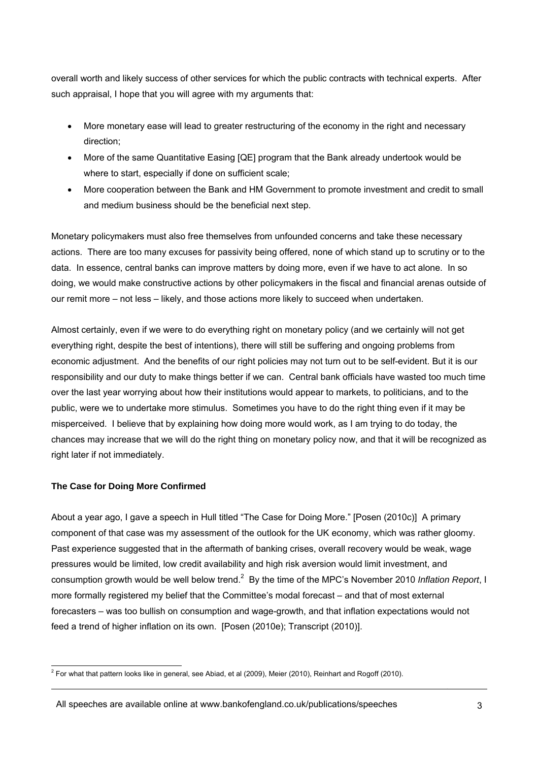overall worth and likely success of other services for which the public contracts with technical experts. After such appraisal, I hope that you will agree with my arguments that:

- More monetary ease will lead to greater restructuring of the economy in the right and necessary direction;
- More of the same Quantitative Easing [QE] program that the Bank already undertook would be where to start, especially if done on sufficient scale;
- More cooperation between the Bank and HM Government to promote investment and credit to small and medium business should be the beneficial next step.

Monetary policymakers must also free themselves from unfounded concerns and take these necessary actions. There are too many excuses for passivity being offered, none of which stand up to scrutiny or to the data. In essence, central banks can improve matters by doing more, even if we have to act alone. In so doing, we would make constructive actions by other policymakers in the fiscal and financial arenas outside of our remit more – not less – likely, and those actions more likely to succeed when undertaken.

Almost certainly, even if we were to do everything right on monetary policy (and we certainly will not get everything right, despite the best of intentions), there will still be suffering and ongoing problems from economic adjustment. And the benefits of our right policies may not turn out to be self-evident. But it is our responsibility and our duty to make things better if we can. Central bank officials have wasted too much time over the last year worrying about how their institutions would appear to markets, to politicians, and to the public, were we to undertake more stimulus. Sometimes you have to do the right thing even if it may be misperceived. I believe that by explaining how doing more would work, as I am trying to do today, the chances may increase that we will do the right thing on monetary policy now, and that it will be recognized as right later if not immediately.

# **The Case for Doing More Confirmed**

About a year ago, I gave a speech in Hull titled "The Case for Doing More." [Posen (2010c)] A primary component of that case was my assessment of the outlook for the UK economy, which was rather gloomy. Past experience suggested that in the aftermath of banking crises, overall recovery would be weak, wage pressures would be limited, low credit availability and high risk aversion would limit investment, and consumption growth would be well below trend.<sup>2</sup> By the time of the MPC's November 2010 Inflation Report, I more formally registered my belief that the Committee's modal forecast – and that of most external forecasters – was too bullish on consumption and wage-growth, and that inflation expectations would not feed a trend of higher inflation on its own. [Posen (2010e); Transcript (2010)].

 2 For what that pattern looks like in general, see Abiad, et al (2009), Meier (2010), Reinhart and Rogoff (2010).

All speeches are available online at www.bankofengland.co.uk/publications/speeches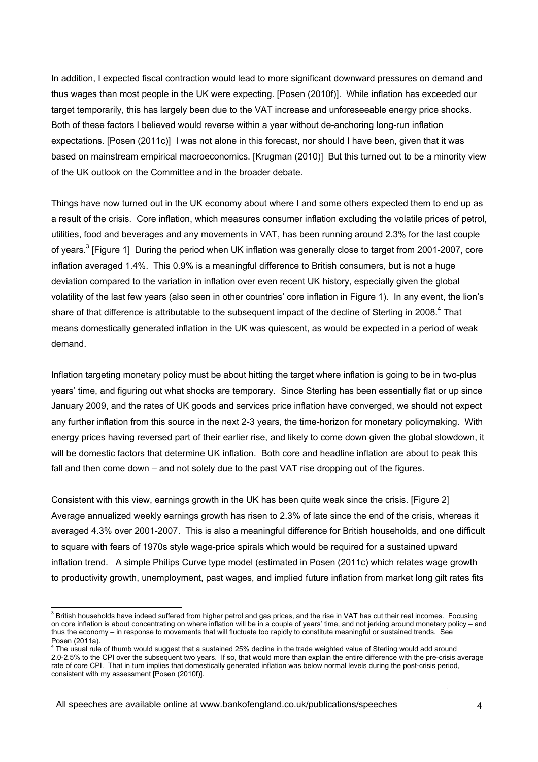In addition, I expected fiscal contraction would lead to more significant downward pressures on demand and thus wages than most people in the UK were expecting. [Posen (2010f)]. While inflation has exceeded our target temporarily, this has largely been due to the VAT increase and unforeseeable energy price shocks. Both of these factors I believed would reverse within a year without de-anchoring long-run inflation expectations. [Posen (2011c)] I was not alone in this forecast, nor should I have been, given that it was based on mainstream empirical macroeconomics. [Krugman (2010)] But this turned out to be a minority view of the UK outlook on the Committee and in the broader debate.

Things have now turned out in the UK economy about where I and some others expected them to end up as a result of the crisis. Core inflation, which measures consumer inflation excluding the volatile prices of petrol, utilities, food and beverages and any movements in VAT, has been running around 2.3% for the last couple of years.<sup>3</sup> [Figure 1] During the period when UK inflation was generally close to target from 2001-2007, core inflation averaged 1.4%. This 0.9% is a meaningful difference to British consumers, but is not a huge deviation compared to the variation in inflation over even recent UK history, especially given the global volatility of the last few years (also seen in other countries' core inflation in Figure 1). In any event, the lion's share of that difference is attributable to the subsequent impact of the decline of Sterling in 2008.<sup>4</sup> That means domestically generated inflation in the UK was quiescent, as would be expected in a period of weak demand.

Inflation targeting monetary policy must be about hitting the target where inflation is going to be in two-plus years' time, and figuring out what shocks are temporary. Since Sterling has been essentially flat or up since January 2009, and the rates of UK goods and services price inflation have converged, we should not expect any further inflation from this source in the next 2-3 years, the time-horizon for monetary policymaking. With energy prices having reversed part of their earlier rise, and likely to come down given the global slowdown, it will be domestic factors that determine UK inflation. Both core and headline inflation are about to peak this fall and then come down – and not solely due to the past VAT rise dropping out of the figures.

Consistent with this view, earnings growth in the UK has been quite weak since the crisis. [Figure 2] Average annualized weekly earnings growth has risen to 2.3% of late since the end of the crisis, whereas it averaged 4.3% over 2001-2007. This is also a meaningful difference for British households, and one difficult to square with fears of 1970s style wage-price spirals which would be required for a sustained upward inflation trend. A simple Philips Curve type model (estimated in Posen (2011c) which relates wage growth to productivity growth, unemployment, past wages, and implied future inflation from market long gilt rates fits

All speeches are available online at www.bankofengland.co.uk/publications/speeches

<sup>3&</sup>lt;br><sup>3</sup> British households have indeed suffered from higher petrol and gas prices, and the rise in VAT has cut their real incomes. Focusing on core inflation is about concentrating on where inflation will be in a couple of years' time, and not jerking around monetary policy – and thus the economy – in response to movements that will fluctuate too rapidly to constitute meaningful or sustained trends. See Posen (2011a).

<sup>&</sup>lt;sup>4</sup> The usual rule of thumb would suggest that a sustained 25% decline in the trade weighted value of Sterling would add around 2.0-2.5% to the CPI over the subsequent two years. If so, that would more than explain the entire difference with the pre-crisis average rate of core CPI. That in turn implies that domestically generated inflation was below normal levels during the post-crisis period, consistent with my assessment [Posen (2010f)].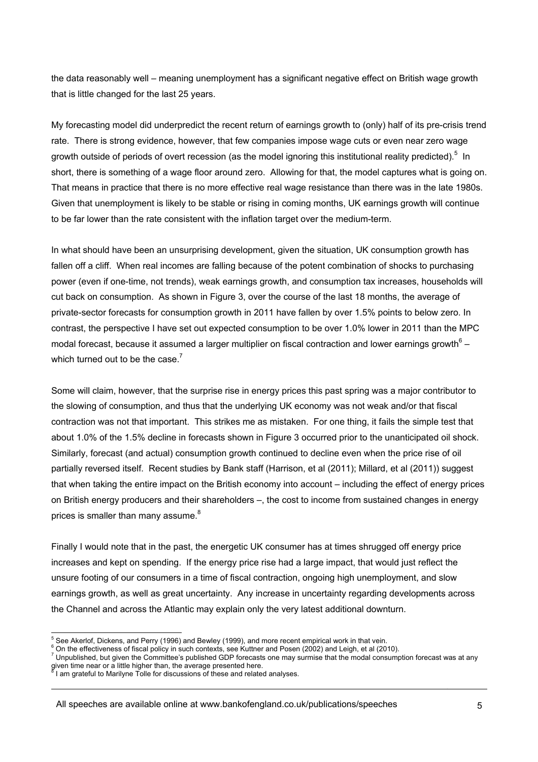the data reasonably well – meaning unemployment has a significant negative effect on British wage growth that is little changed for the last 25 years.

My forecasting model did underpredict the recent return of earnings growth to (only) half of its pre-crisis trend rate. There is strong evidence, however, that few companies impose wage cuts or even near zero wage growth outside of periods of overt recession (as the model ignoring this institutional reality predicted).<sup>5</sup> In short, there is something of a wage floor around zero. Allowing for that, the model captures what is going on. That means in practice that there is no more effective real wage resistance than there was in the late 1980s. Given that unemployment is likely to be stable or rising in coming months, UK earnings growth will continue to be far lower than the rate consistent with the inflation target over the medium-term.

In what should have been an unsurprising development, given the situation, UK consumption growth has fallen off a cliff. When real incomes are falling because of the potent combination of shocks to purchasing power (even if one-time, not trends), weak earnings growth, and consumption tax increases, households will cut back on consumption. As shown in Figure 3, over the course of the last 18 months, the average of private-sector forecasts for consumption growth in 2011 have fallen by over 1.5% points to below zero. In contrast, the perspective I have set out expected consumption to be over 1.0% lower in 2011 than the MPC modal forecast, because it assumed a larger multiplier on fiscal contraction and lower earnings growth $^6$  – which turned out to be the case. $^7$ 

Some will claim, however, that the surprise rise in energy prices this past spring was a major contributor to the slowing of consumption, and thus that the underlying UK economy was not weak and/or that fiscal contraction was not that important. This strikes me as mistaken. For one thing, it fails the simple test that about 1.0% of the 1.5% decline in forecasts shown in Figure 3 occurred prior to the unanticipated oil shock. Similarly, forecast (and actual) consumption growth continued to decline even when the price rise of oil partially reversed itself. Recent studies by Bank staff (Harrison, et al (2011); Millard, et al (2011)) suggest that when taking the entire impact on the British economy into account – including the effect of energy prices on British energy producers and their shareholders –, the cost to income from sustained changes in energy prices is smaller than many assume. $8$ 

Finally I would note that in the past, the energetic UK consumer has at times shrugged off energy price increases and kept on spending. If the energy price rise had a large impact, that would just reflect the unsure footing of our consumers in a time of fiscal contraction, ongoing high unemployment, and slow earnings growth, as well as great uncertainty. Any increase in uncertainty regarding developments across the Channel and across the Atlantic may explain only the very latest additional downturn.

 $^7$  Unpublished, but given the Committee's published GDP forecasts one may surmise that the modal consumption forecast was at any given time near or a little higher than, the average presented here.<br><sup>8</sup> I am grateful to Marilyne Tolle for discussions of these and related analyses.

<sup>&</sup>lt;sup>5</sup> See Akerlof, Dickens, and Perry (1996) and Bewley (1999), and more recent empirical work in that vein.<br><sup>6</sup> On the effectivences of fiscal poliny in such contexts, see Kutteer and Pesso (2003) and Leigh, at al. (201

<sup>&</sup>lt;sup>6</sup> On the effectiveness of fiscal policy in such contexts, see Kuttner and Posen (2002) and Leigh, et al (2010).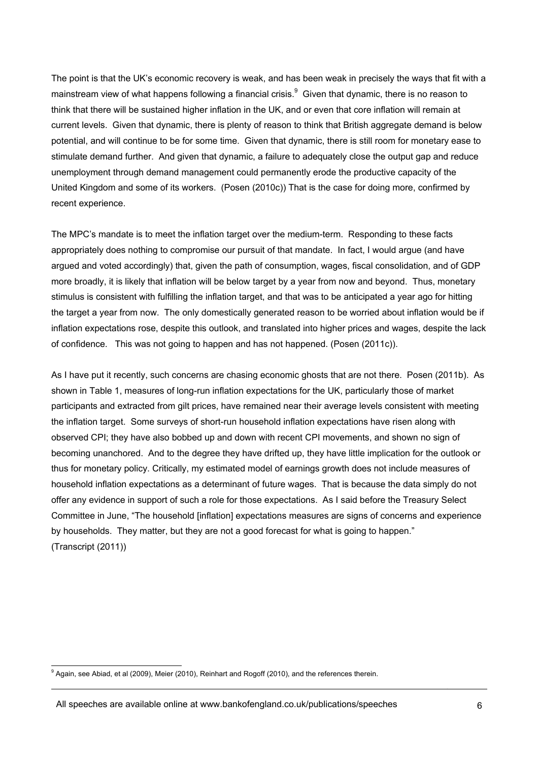The point is that the UK's economic recovery is weak, and has been weak in precisely the ways that fit with a mainstream view of what happens following a financial crisis.<sup>9</sup> Given that dynamic, there is no reason to think that there will be sustained higher inflation in the UK, and or even that core inflation will remain at current levels. Given that dynamic, there is plenty of reason to think that British aggregate demand is below potential, and will continue to be for some time. Given that dynamic, there is still room for monetary ease to stimulate demand further. And given that dynamic, a failure to adequately close the output gap and reduce unemployment through demand management could permanently erode the productive capacity of the United Kingdom and some of its workers. (Posen (2010c)) That is the case for doing more, confirmed by recent experience.

The MPC's mandate is to meet the inflation target over the medium-term. Responding to these facts appropriately does nothing to compromise our pursuit of that mandate. In fact, I would argue (and have argued and voted accordingly) that, given the path of consumption, wages, fiscal consolidation, and of GDP more broadly, it is likely that inflation will be below target by a year from now and beyond. Thus, monetary stimulus is consistent with fulfilling the inflation target, and that was to be anticipated a year ago for hitting the target a year from now. The only domestically generated reason to be worried about inflation would be if inflation expectations rose, despite this outlook, and translated into higher prices and wages, despite the lack of confidence. This was not going to happen and has not happened. (Posen (2011c)).

As I have put it recently, such concerns are chasing economic ghosts that are not there. Posen (2011b). As shown in Table 1, measures of long-run inflation expectations for the UK, particularly those of market participants and extracted from gilt prices, have remained near their average levels consistent with meeting the inflation target. Some surveys of short-run household inflation expectations have risen along with observed CPI; they have also bobbed up and down with recent CPI movements, and shown no sign of becoming unanchored. And to the degree they have drifted up, they have little implication for the outlook or thus for monetary policy. Critically, my estimated model of earnings growth does not include measures of household inflation expectations as a determinant of future wages. That is because the data simply do not offer any evidence in support of such a role for those expectations. As I said before the Treasury Select Committee in June, "The household [inflation] expectations measures are signs of concerns and experience by households. They matter, but they are not a good forecast for what is going to happen." (Transcript (2011))

All speeches are available online at www.bankofengland.co.uk/publications/speeches

 9 Again, see Abiad, et al (2009), Meier (2010), Reinhart and Rogoff (2010), and the references therein.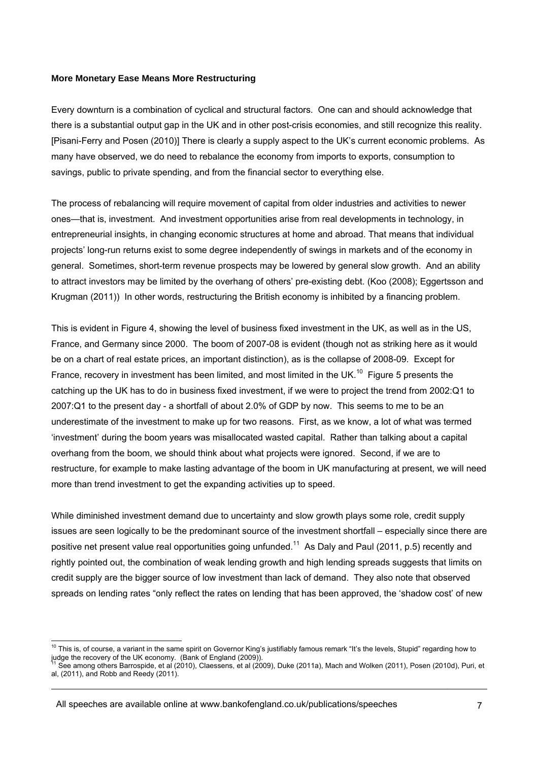### **More Monetary Ease Means More Restructuring**

Every downturn is a combination of cyclical and structural factors. One can and should acknowledge that there is a substantial output gap in the UK and in other post-crisis economies, and still recognize this reality. [Pisani-Ferry and Posen (2010)] There is clearly a supply aspect to the UK's current economic problems. As many have observed, we do need to rebalance the economy from imports to exports, consumption to savings, public to private spending, and from the financial sector to everything else.

The process of rebalancing will require movement of capital from older industries and activities to newer ones—that is, investment. And investment opportunities arise from real developments in technology, in entrepreneurial insights, in changing economic structures at home and abroad. That means that individual projects' long-run returns exist to some degree independently of swings in markets and of the economy in general. Sometimes, short-term revenue prospects may be lowered by general slow growth. And an ability to attract investors may be limited by the overhang of others' pre-existing debt. (Koo (2008); Eggertsson and Krugman (2011)) In other words, restructuring the British economy is inhibited by a financing problem.

This is evident in Figure 4, showing the level of business fixed investment in the UK, as well as in the US, France, and Germany since 2000. The boom of 2007-08 is evident (though not as striking here as it would be on a chart of real estate prices, an important distinction), as is the collapse of 2008-09. Except for France, recovery in investment has been limited, and most limited in the UK.<sup>10</sup> Figure 5 presents the catching up the UK has to do in business fixed investment, if we were to project the trend from 2002:Q1 to 2007:Q1 to the present day - a shortfall of about 2.0% of GDP by now. This seems to me to be an underestimate of the investment to make up for two reasons. First, as we know, a lot of what was termed 'investment' during the boom years was misallocated wasted capital. Rather than talking about a capital overhang from the boom, we should think about what projects were ignored. Second, if we are to restructure, for example to make lasting advantage of the boom in UK manufacturing at present, we will need more than trend investment to get the expanding activities up to speed.

While diminished investment demand due to uncertainty and slow growth plays some role, credit supply issues are seen logically to be the predominant source of the investment shortfall – especially since there are positive net present value real opportunities going unfunded.<sup>11</sup> As Daly and Paul (2011, p.5) recently and rightly pointed out, the combination of weak lending growth and high lending spreads suggests that limits on credit supply are the bigger source of low investment than lack of demand. They also note that observed spreads on lending rates "only reflect the rates on lending that has been approved, the 'shadow cost' of new

All speeches are available online at www.bankofengland.co.uk/publications/speeches

l  $10$  This is, of course, a variant in the same spirit on Governor King's justifiably famous remark "It's the levels, Stupid" regarding how to judge the recovery of the UK economy. (Bank of England (2009)).

See among others Barrospide, et al (2010), Claessens, et al (2009), Duke (2011a), Mach and Wolken (2011), Posen (2010d), Puri, et al, (2011), and Robb and Reedy (2011).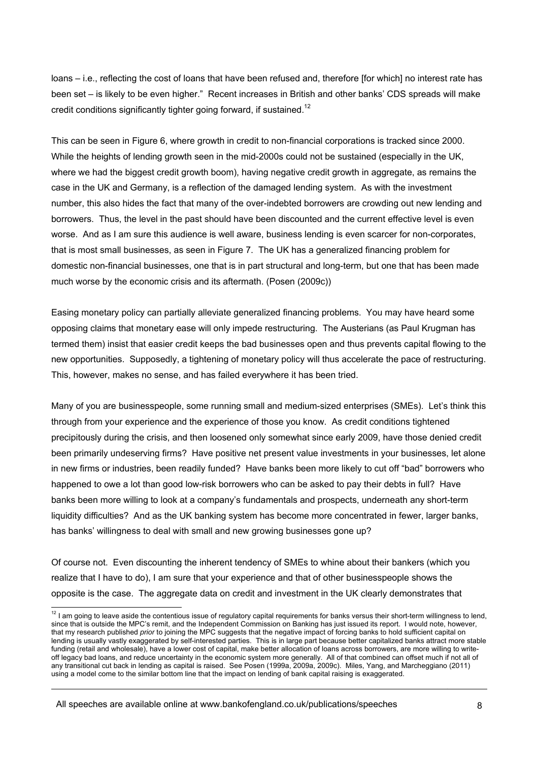loans – i.e., reflecting the cost of loans that have been refused and, therefore [for which] no interest rate has been set – is likely to be even higher." Recent increases in British and other banks' CDS spreads will make credit conditions significantly tighter going forward, if sustained.<sup>12</sup>

This can be seen in Figure 6, where growth in credit to non-financial corporations is tracked since 2000. While the heights of lending growth seen in the mid-2000s could not be sustained (especially in the UK, where we had the biggest credit growth boom), having negative credit growth in aggregate, as remains the case in the UK and Germany, is a reflection of the damaged lending system. As with the investment number, this also hides the fact that many of the over-indebted borrowers are crowding out new lending and borrowers. Thus, the level in the past should have been discounted and the current effective level is even worse. And as I am sure this audience is well aware, business lending is even scarcer for non-corporates, that is most small businesses, as seen in Figure 7. The UK has a generalized financing problem for domestic non-financial businesses, one that is in part structural and long-term, but one that has been made much worse by the economic crisis and its aftermath. (Posen (2009c))

Easing monetary policy can partially alleviate generalized financing problems. You may have heard some opposing claims that monetary ease will only impede restructuring. The Austerians (as Paul Krugman has termed them) insist that easier credit keeps the bad businesses open and thus prevents capital flowing to the new opportunities. Supposedly, a tightening of monetary policy will thus accelerate the pace of restructuring. This, however, makes no sense, and has failed everywhere it has been tried.

Many of you are businesspeople, some running small and medium-sized enterprises (SMEs). Let's think this through from your experience and the experience of those you know. As credit conditions tightened precipitously during the crisis, and then loosened only somewhat since early 2009, have those denied credit been primarily undeserving firms? Have positive net present value investments in your businesses, let alone in new firms or industries, been readily funded? Have banks been more likely to cut off "bad" borrowers who happened to owe a lot than good low-risk borrowers who can be asked to pay their debts in full? Have banks been more willing to look at a company's fundamentals and prospects, underneath any short-term liquidity difficulties? And as the UK banking system has become more concentrated in fewer, larger banks, has banks' willingness to deal with small and new growing businesses gone up?

Of course not. Even discounting the inherent tendency of SMEs to whine about their bankers (which you realize that I have to do), I am sure that your experience and that of other businesspeople shows the opposite is the case. The aggregate data on credit and investment in the UK clearly demonstrates that

All speeches are available online at www.bankofengland.co.uk/publications/speeches

 $12$  I am going to leave aside the contentious issue of regulatory capital requirements for banks versus their short-term willingness to lend, since that is outside the MPC's remit, and the Independent Commission on Banking has just issued its report. I would note, however, that my research published *prior* to joining the MPC suggests that the negative impact of forcing banks to hold sufficient capital on lending is usually vastly exaggerated by self-interested parties. This is in large part because better capitalized banks attract more stable funding (retail and wholesale), have a lower cost of capital, make better allocation of loans across borrowers, are more willing to writeoff legacy bad loans, and reduce uncertainty in the economic system more generally. All of that combined can offset much if not all of any transitional cut back in lending as capital is raised. See Posen (1999a, 2009a, 2009c). Miles, Yang, and Marcheggiano (2011) using a model come to the similar bottom line that the impact on lending of bank capital raising is exaggerated.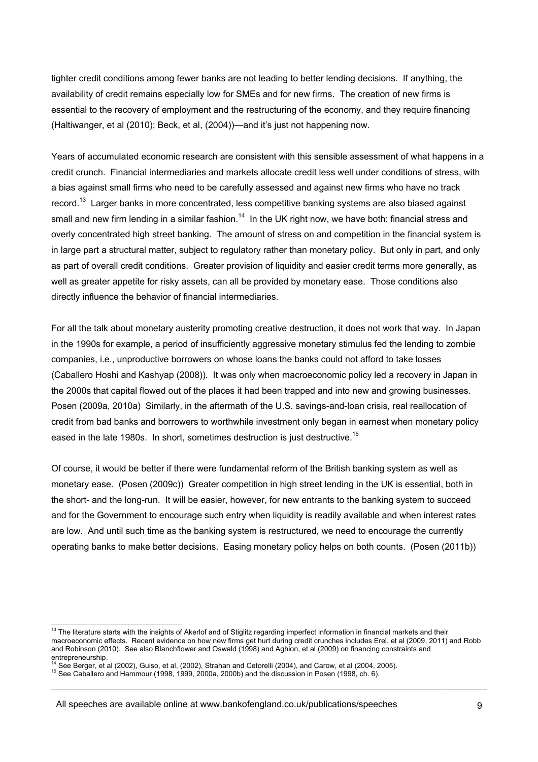tighter credit conditions among fewer banks are not leading to better lending decisions. If anything, the availability of credit remains especially low for SMEs and for new firms. The creation of new firms is essential to the recovery of employment and the restructuring of the economy, and they require financing (Haltiwanger, et al (2010); Beck, et al, (2004))—and it's just not happening now.

Years of accumulated economic research are consistent with this sensible assessment of what happens in a credit crunch. Financial intermediaries and markets allocate credit less well under conditions of stress, with a bias against small firms who need to be carefully assessed and against new firms who have no track record.<sup>13</sup> Larger banks in more concentrated, less competitive banking systems are also biased against small and new firm lending in a similar fashion.<sup>14</sup> In the UK right now, we have both: financial stress and overly concentrated high street banking. The amount of stress on and competition in the financial system is in large part a structural matter, subject to regulatory rather than monetary policy. But only in part, and only as part of overall credit conditions. Greater provision of liquidity and easier credit terms more generally, as well as greater appetite for risky assets, can all be provided by monetary ease. Those conditions also directly influence the behavior of financial intermediaries.

For all the talk about monetary austerity promoting creative destruction, it does not work that way. In Japan in the 1990s for example, a period of insufficiently aggressive monetary stimulus fed the lending to zombie companies, i.e., unproductive borrowers on whose loans the banks could not afford to take losses (Caballero Hoshi and Kashyap (2008)). It was only when macroeconomic policy led a recovery in Japan in the 2000s that capital flowed out of the places it had been trapped and into new and growing businesses. Posen (2009a, 2010a) Similarly, in the aftermath of the U.S. savings-and-loan crisis, real reallocation of credit from bad banks and borrowers to worthwhile investment only began in earnest when monetary policy eased in the late 1980s. In short, sometimes destruction is just destructive.<sup>15</sup>

Of course, it would be better if there were fundamental reform of the British banking system as well as monetary ease. (Posen (2009c)) Greater competition in high street lending in the UK is essential, both in the short- and the long-run. It will be easier, however, for new entrants to the banking system to succeed and for the Government to encourage such entry when liquidity is readily available and when interest rates are low. And until such time as the banking system is restructured, we need to encourage the currently operating banks to make better decisions. Easing monetary policy helps on both counts. (Posen (2011b))

 $13$  The literature starts with the insights of Akerlof and of Stiglitz regarding imperfect information in financial markets and their macroeconomic effects. Recent evidence on how new firms get hurt during credit crunches includes Erel, et al (2009, 2011) and Robb and Robinson (2010). See also Blanchflower and Oswald (1998) and Aghion, et al (2009) on financing constraints and entrepreneurship.<br><sup>14</sup> See Berger, et al (2002), Guiso, et al. (2002), Strahan and Cetorelli (2004), and Carow, et al (2004, 2005).

<sup>&</sup>lt;sup>15</sup> See Caballero and Hammour (1998, 1999, 2000a, 2000b) and the discussion in Posen (1998, ch. 6).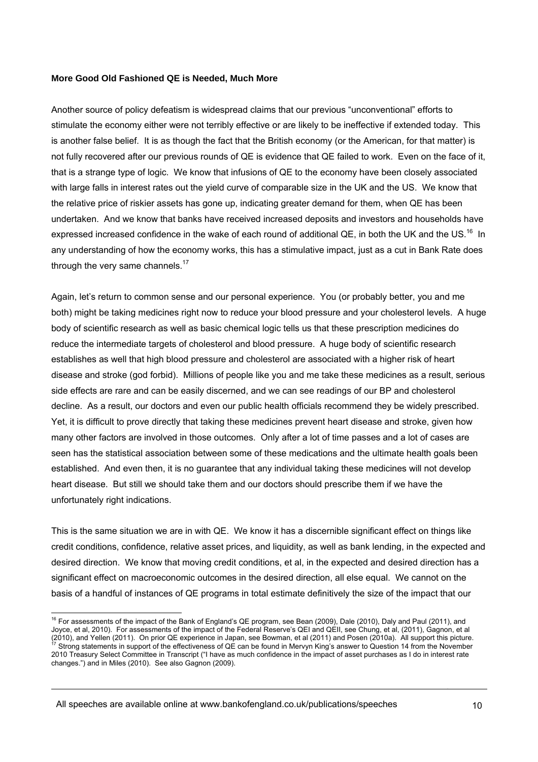### **More Good Old Fashioned QE is Needed, Much More**

Another source of policy defeatism is widespread claims that our previous "unconventional" efforts to stimulate the economy either were not terribly effective or are likely to be ineffective if extended today. This is another false belief. It is as though the fact that the British economy (or the American, for that matter) is not fully recovered after our previous rounds of QE is evidence that QE failed to work. Even on the face of it, that is a strange type of logic. We know that infusions of QE to the economy have been closely associated with large falls in interest rates out the yield curve of comparable size in the UK and the US. We know that the relative price of riskier assets has gone up, indicating greater demand for them, when QE has been undertaken. And we know that banks have received increased deposits and investors and households have expressed increased confidence in the wake of each round of additional QE, in both the UK and the US.<sup>16</sup> In any understanding of how the economy works, this has a stimulative impact, just as a cut in Bank Rate does through the very same channels. $17$ 

Again, let's return to common sense and our personal experience. You (or probably better, you and me both) might be taking medicines right now to reduce your blood pressure and your cholesterol levels. A huge body of scientific research as well as basic chemical logic tells us that these prescription medicines do reduce the intermediate targets of cholesterol and blood pressure. A huge body of scientific research establishes as well that high blood pressure and cholesterol are associated with a higher risk of heart disease and stroke (god forbid). Millions of people like you and me take these medicines as a result, serious side effects are rare and can be easily discerned, and we can see readings of our BP and cholesterol decline. As a result, our doctors and even our public health officials recommend they be widely prescribed. Yet, it is difficult to prove directly that taking these medicines prevent heart disease and stroke, given how many other factors are involved in those outcomes. Only after a lot of time passes and a lot of cases are seen has the statistical association between some of these medications and the ultimate health goals been established. And even then, it is no guarantee that any individual taking these medicines will not develop heart disease. But still we should take them and our doctors should prescribe them if we have the unfortunately right indications.

This is the same situation we are in with QE. We know it has a discernible significant effect on things like credit conditions, confidence, relative asset prices, and liquidity, as well as bank lending, in the expected and desired direction. We know that moving credit conditions, et al, in the expected and desired direction has a significant effect on macroeconomic outcomes in the desired direction, all else equal. We cannot on the basis of a handful of instances of QE programs in total estimate definitively the size of the impact that our

<sup>&</sup>lt;sup>16</sup> For assessments of the impact of the Bank of England's QE program, see Bean (2009), Dale (2010), Daly and Paul (2011), and Joyce, et al, 2010). For assessments of the impact of the Federal Reserve's QEI and QEII, see Chung, et al, (2011), Gagnon, et al 2010), and Yellen (2011). On prior QE experience in Japan, see Bowman, et al (2011) and Posen (2010a). All support this picture.<br>(2010), and Yellen (2011). On prior QE experience in Japan, see Bowman, et al (2011) and Pose 2010 Treasury Select Committee in Transcript ("I have as much confidence in the impact of asset purchases as I do in interest rate changes.") and in Miles (2010). See also Gagnon (2009).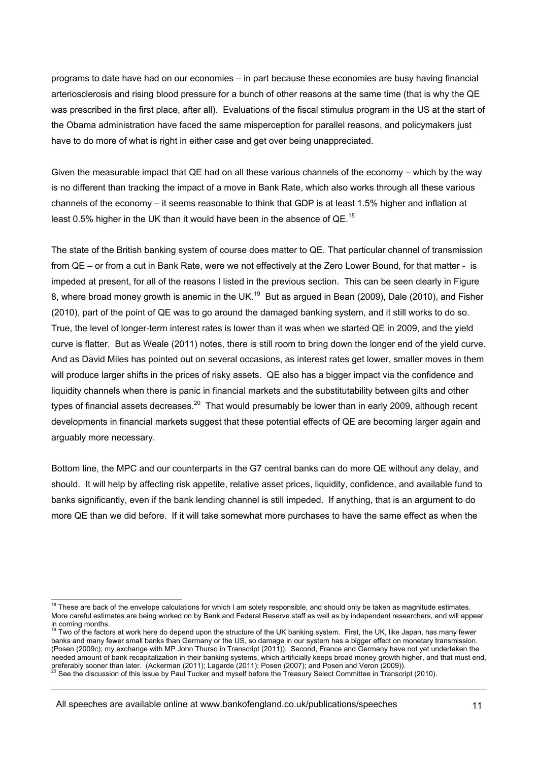programs to date have had on our economies – in part because these economies are busy having financial arteriosclerosis and rising blood pressure for a bunch of other reasons at the same time (that is why the QE was prescribed in the first place, after all). Evaluations of the fiscal stimulus program in the US at the start of the Obama administration have faced the same misperception for parallel reasons, and policymakers just have to do more of what is right in either case and get over being unappreciated.

Given the measurable impact that QE had on all these various channels of the economy – which by the way is no different than tracking the impact of a move in Bank Rate, which also works through all these various channels of the economy – it seems reasonable to think that GDP is at least 1.5% higher and inflation at least 0.5% higher in the UK than it would have been in the absence of QE.<sup>18</sup>

The state of the British banking system of course does matter to QE. That particular channel of transmission from QE – or from a cut in Bank Rate, were we not effectively at the Zero Lower Bound, for that matter - is impeded at present, for all of the reasons I listed in the previous section. This can be seen clearly in Figure 8, where broad money growth is anemic in the UK.<sup>19</sup> But as argued in Bean (2009), Dale (2010), and Fisher (2010), part of the point of QE was to go around the damaged banking system, and it still works to do so. True, the level of longer-term interest rates is lower than it was when we started QE in 2009, and the yield curve is flatter. But as Weale (2011) notes, there is still room to bring down the longer end of the yield curve. And as David Miles has pointed out on several occasions, as interest rates get lower, smaller moves in them will produce larger shifts in the prices of risky assets. QE also has a bigger impact via the confidence and liquidity channels when there is panic in financial markets and the substitutability between gilts and other types of financial assets decreases.<sup>20</sup> That would presumably be lower than in early 2009, although recent developments in financial markets suggest that these potential effects of QE are becoming larger again and arguably more necessary.

Bottom line, the MPC and our counterparts in the G7 central banks can do more QE without any delay, and should. It will help by affecting risk appetite, relative asset prices, liquidity, confidence, and available fund to banks significantly, even if the bank lending channel is still impeded. If anything, that is an argument to do more QE than we did before. If it will take somewhat more purchases to have the same effect as when the

 $18$  These are back of the envelope calculations for which I am solely responsible, and should only be taken as magnitude estimates. More careful estimates are being worked on by Bank and Federal Reserve staff as well as by independent researchers, and will appear in coming months.

Two of the factors at work here do depend upon the structure of the UK banking system. First, the UK, like Japan, has many fewer banks and many fewer small banks than Germany or the US, so damage in our system has a bigger effect on monetary transmission. (Posen (2009c); my exchange with MP John Thurso in Transcript (2011)). Second, France and Germany have not yet undertaken the needed amount of bank recapitalization in their banking systems, which artificially keeps broad money growth higher, and that must end, preferably sooner than later. (Ackerman (2011); Lagarde (2011); Posen (2007); and Posen and Veron (2009)).<br><sup>20</sup> See the discussion of this issue by Paul Tucker and myself before the Treasury Select Committee in Transcript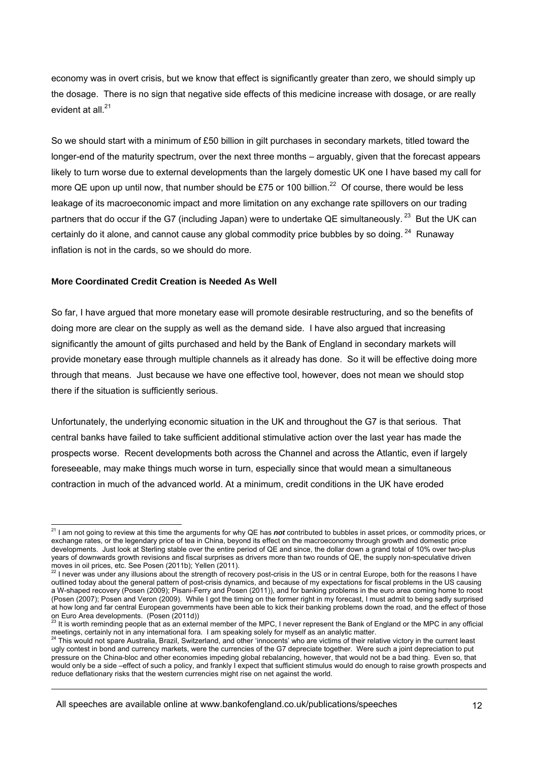economy was in overt crisis, but we know that effect is significantly greater than zero, we should simply up the dosage. There is no sign that negative side effects of this medicine increase with dosage, or are really evident at all. $^{21}$ 

So we should start with a minimum of £50 billion in gilt purchases in secondary markets, titled toward the longer-end of the maturity spectrum, over the next three months – arguably, given that the forecast appears likely to turn worse due to external developments than the largely domestic UK one I have based my call for more QE upon up until now, that number should be £75 or 100 billion.<sup>22</sup> Of course, there would be less leakage of its macroeconomic impact and more limitation on any exchange rate spillovers on our trading partners that do occur if the G7 (including Japan) were to undertake QE simultaneously. <sup>23</sup> But the UK can certainly do it alone, and cannot cause any global commodity price bubbles by so doing.  $24$  Runaway inflation is not in the cards, so we should do more.

# **More Coordinated Credit Creation is Needed As Well**

So far, I have argued that more monetary ease will promote desirable restructuring, and so the benefits of doing more are clear on the supply as well as the demand side. I have also argued that increasing significantly the amount of gilts purchased and held by the Bank of England in secondary markets will provide monetary ease through multiple channels as it already has done. So it will be effective doing more through that means. Just because we have one effective tool, however, does not mean we should stop there if the situation is sufficiently serious.

Unfortunately, the underlying economic situation in the UK and throughout the G7 is that serious. That central banks have failed to take sufficient additional stimulative action over the last year has made the prospects worse. Recent developments both across the Channel and across the Atlantic, even if largely foreseeable, may make things much worse in turn, especially since that would mean a simultaneous contraction in much of the advanced world. At a minimum, credit conditions in the UK have eroded

All speeches are available online at www.bankofengland.co.uk/publications/speeches

l 21 I am not going to review at this time the arguments for why QE has *not* contributed to bubbles in asset prices, or commodity prices, or exchange rates, or the legendary price of tea in China, beyond its effect on the macroeconomy through growth and domestic price developments. Just look at Sterling stable over the entire period of QE and since, the dollar down a grand total of 10% over two-plus years of downwards growth revisions and fiscal surprises as drivers more than two rounds of QE, the supply non-speculative driven

moves in oil prices, etc. See Posen (2011b); Yellen (2011).<br><sup>22</sup> I never was under any illusions about the strength of recovery post-crisis in the US or in central Europe, both for the reasons I have outlined today about the general pattern of post-crisis dynamics, and because of my expectations for fiscal problems in the US causing a W-shaped recovery (Posen (2009); Pisani-Ferry and Posen (2011)), and for banking problems in the euro area coming home to roost (Posen (2007); Posen and Veron (2009). While I got the timing on the former right in my forecast, I must admit to being sadly surprised at how long and far central European governments have been able to kick their banking problems down the road, and the effect of those

on Euro Area developments. (Posen (2011d))<br><sup>23</sup> It is worth reminding people that as an external member of the MPC, I never represent the Bank of England or the MPC in any official meetings, certainly not in any international fora. I am speaking solely for myself as an analytic matter.<br><sup>24</sup> This would not spare Australia, Brazil, Switzerland, and other 'innocents' who are victims of their relative vi

ugly contest in bond and currency markets, were the currencies of the G7 depreciate together. Were such a joint depreciation to put pressure on the China-bloc and other economies impeding global rebalancing, however, that would not be a bad thing. Even so, that would only be a side –effect of such a policy, and frankly I expect that sufficient stimulus would do enough to raise growth prospects and reduce deflationary risks that the western currencies might rise on net against the world.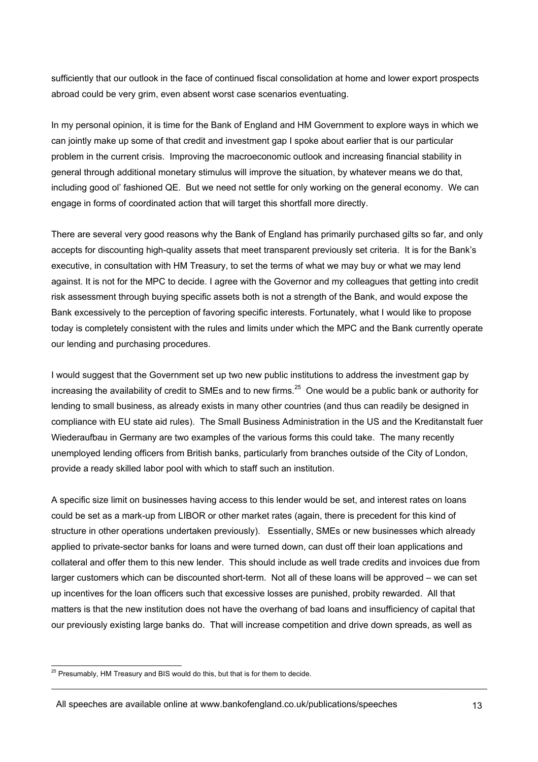sufficiently that our outlook in the face of continued fiscal consolidation at home and lower export prospects abroad could be very grim, even absent worst case scenarios eventuating.

In my personal opinion, it is time for the Bank of England and HM Government to explore ways in which we can jointly make up some of that credit and investment gap I spoke about earlier that is our particular problem in the current crisis. Improving the macroeconomic outlook and increasing financial stability in general through additional monetary stimulus will improve the situation, by whatever means we do that, including good ol' fashioned QE. But we need not settle for only working on the general economy. We can engage in forms of coordinated action that will target this shortfall more directly.

There are several very good reasons why the Bank of England has primarily purchased gilts so far, and only accepts for discounting high-quality assets that meet transparent previously set criteria. It is for the Bank's executive, in consultation with HM Treasury, to set the terms of what we may buy or what we may lend against. It is not for the MPC to decide. I agree with the Governor and my colleagues that getting into credit risk assessment through buying specific assets both is not a strength of the Bank, and would expose the Bank excessively to the perception of favoring specific interests. Fortunately, what I would like to propose today is completely consistent with the rules and limits under which the MPC and the Bank currently operate our lending and purchasing procedures.

I would suggest that the Government set up two new public institutions to address the investment gap by increasing the availability of credit to SMEs and to new firms.<sup>25</sup> One would be a public bank or authority for lending to small business, as already exists in many other countries (and thus can readily be designed in compliance with EU state aid rules). The Small Business Administration in the US and the Kreditanstalt fuer Wiederaufbau in Germany are two examples of the various forms this could take. The many recently unemployed lending officers from British banks, particularly from branches outside of the City of London, provide a ready skilled labor pool with which to staff such an institution.

A specific size limit on businesses having access to this lender would be set, and interest rates on loans could be set as a mark-up from LIBOR or other market rates (again, there is precedent for this kind of structure in other operations undertaken previously). Essentially, SMEs or new businesses which already applied to private-sector banks for loans and were turned down, can dust off their loan applications and collateral and offer them to this new lender. This should include as well trade credits and invoices due from larger customers which can be discounted short-term. Not all of these loans will be approved – we can set up incentives for the loan officers such that excessive losses are punished, probity rewarded. All that matters is that the new institution does not have the overhang of bad loans and insufficiency of capital that our previously existing large banks do. That will increase competition and drive down spreads, as well as

All speeches are available online at www.bankofengland.co.uk/publications/speeches

 $25$  Presumably, HM Treasury and BIS would do this, but that is for them to decide.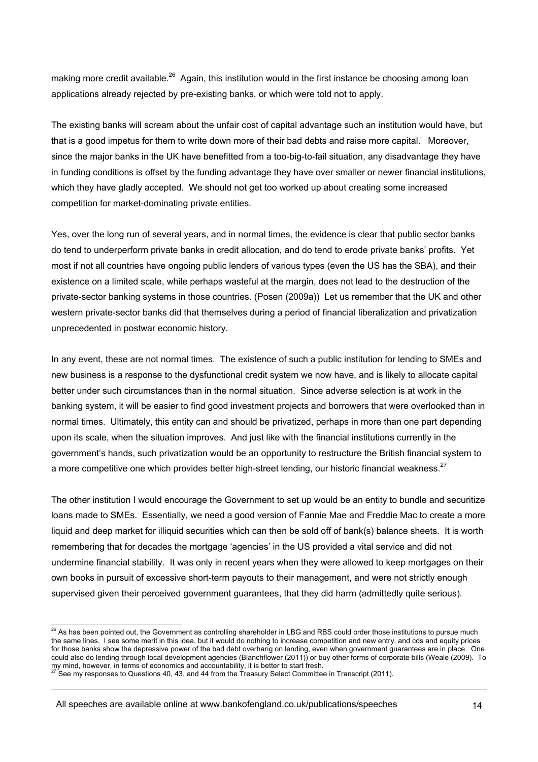making more credit available.<sup>26</sup> Again, this institution would in the first instance be choosing among loan applications already rejected by pre-existing banks, or which were told not to apply.

The existing banks will scream about the unfair cost of capital advantage such an institution would have, but that is a good impetus for them to write down more of their bad debts and raise more capital. Moreover, since the major banks in the UK have benefitted from a too-big-to-fail situation, any disadvantage they have in funding conditions is offset by the funding advantage they have over smaller or newer financial institutions, which they have gladly accepted. We should not get too worked up about creating some increased competition for market-dominating private entities.

Yes, over the long run of several years, and in normal times, the evidence is clear that public sector banks do tend to underperform private banks in credit allocation, and do tend to erode private banks' profits. Yet most if not all countries have ongoing public lenders of various types (even the US has the SBA), and their existence on a limited scale, while perhaps wasteful at the margin, does not lead to the destruction of the private-sector banking systems in those countries. (Posen (2009a)) Let us remember that the UK and other western private-sector banks did that themselves during a period of financial liberalization and privatization unprecedented in postwar economic history.

In any event, these are not normal times. The existence of such a public institution for lending to SMEs and new business is a response to the dysfunctional credit system we now have, and is likely to allocate capital better under such circumstances than in the normal situation. Since adverse selection is at work in the banking system, it will be easier to find good investment projects and borrowers that were overlooked than in normal times. Ultimately, this entity can and should be privatized, perhaps in more than one part depending upon its scale, when the situation improves. And just like with the financial institutions currently in the government's hands, such privatization would be an opportunity to restructure the British financial system to a more competitive one which provides better high-street lending, our historic financial weakness.<sup>27</sup>

The other institution I would encourage the Government to set up would be an entity to bundle and securitize loans made to SMEs. Essentially, we need a good version of Fannie Mae and Freddie Mac to create a more liquid and deep market for illiquid securities which can then be sold off of bank(s) balance sheets. It is worth remembering that for decades the mortgage 'agencies' in the US provided a vital service and did not undermine financial stability. It was only in recent years when they were allowed to keep mortgages on their own books in pursuit of excessive short-term payouts to their management, and were not strictly enough supervised given their perceived government guarantees, that they did harm (admittedly quite serious).

All speeches are available online at www.bankofengland.co.uk/publications/speeches

 $^{26}$  As has been pointed out, the Government as controlling shareholder in LBG and RBS could order those institutions to pursue much the same lines. I see some merit in this idea, but it would do nothing to increase competition and new entry, and cds and equity prices for those banks show the depressive power of the bad debt overhang on lending, even when government guarantees are in place. One could also do lending through local development agencies (Blanchflower (2011)) or buy other forms of corporate bills (Weale (2009). To my mind, however, in terms of economics and accountability, it is better to start fresh.<br><sup>27</sup> See my responses to Questions 40, 43, and 44 from the Treasury Select Committee in Transcript (2011).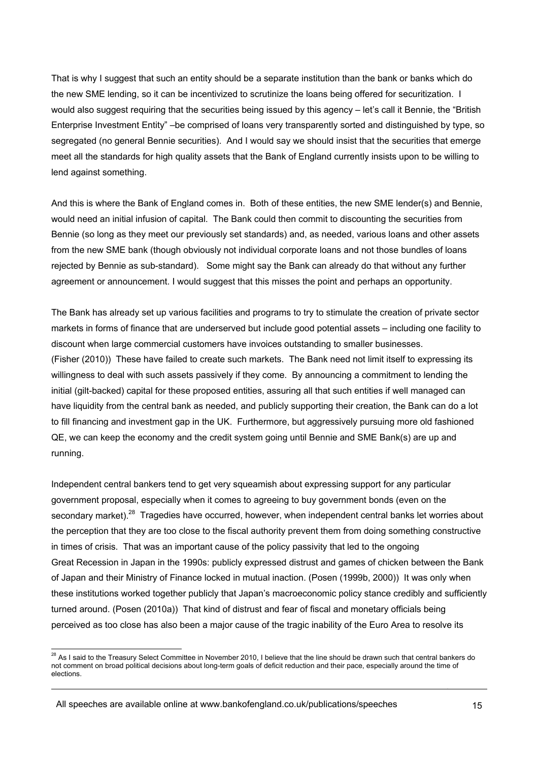That is why I suggest that such an entity should be a separate institution than the bank or banks which do the new SME lending, so it can be incentivized to scrutinize the loans being offered for securitization. I would also suggest requiring that the securities being issued by this agency – let's call it Bennie, the "British" Enterprise Investment Entity" –be comprised of loans very transparently sorted and distinguished by type, so segregated (no general Bennie securities). And I would say we should insist that the securities that emerge meet all the standards for high quality assets that the Bank of England currently insists upon to be willing to lend against something.

And this is where the Bank of England comes in. Both of these entities, the new SME lender(s) and Bennie, would need an initial infusion of capital. The Bank could then commit to discounting the securities from Bennie (so long as they meet our previously set standards) and, as needed, various loans and other assets from the new SME bank (though obviously not individual corporate loans and not those bundles of loans rejected by Bennie as sub-standard). Some might say the Bank can already do that without any further agreement or announcement. I would suggest that this misses the point and perhaps an opportunity.

The Bank has already set up various facilities and programs to try to stimulate the creation of private sector markets in forms of finance that are underserved but include good potential assets – including one facility to discount when large commercial customers have invoices outstanding to smaller businesses. (Fisher (2010)) These have failed to create such markets. The Bank need not limit itself to expressing its willingness to deal with such assets passively if they come. By announcing a commitment to lending the initial (gilt-backed) capital for these proposed entities, assuring all that such entities if well managed can have liquidity from the central bank as needed, and publicly supporting their creation, the Bank can do a lot to fill financing and investment gap in the UK. Furthermore, but aggressively pursuing more old fashioned QE, we can keep the economy and the credit system going until Bennie and SME Bank(s) are up and running.

Independent central bankers tend to get very squeamish about expressing support for any particular government proposal, especially when it comes to agreeing to buy government bonds (even on the secondary market).<sup>28</sup> Tragedies have occurred, however, when independent central banks let worries about the perception that they are too close to the fiscal authority prevent them from doing something constructive in times of crisis. That was an important cause of the policy passivity that led to the ongoing Great Recession in Japan in the 1990s: publicly expressed distrust and games of chicken between the Bank of Japan and their Ministry of Finance locked in mutual inaction. (Posen (1999b, 2000)) It was only when these institutions worked together publicly that Japan's macroeconomic policy stance credibly and sufficiently turned around. (Posen (2010a)) That kind of distrust and fear of fiscal and monetary officials being perceived as too close has also been a major cause of the tragic inability of the Euro Area to resolve its

All speeches are available online at www.bankofengland.co.uk/publications/speeches

 $^{28}$  As I said to the Treasury Select Committee in November 2010, I believe that the line should be drawn such that central bankers do not comment on broad political decisions about long-term goals of deficit reduction and their pace, especially around the time of elections.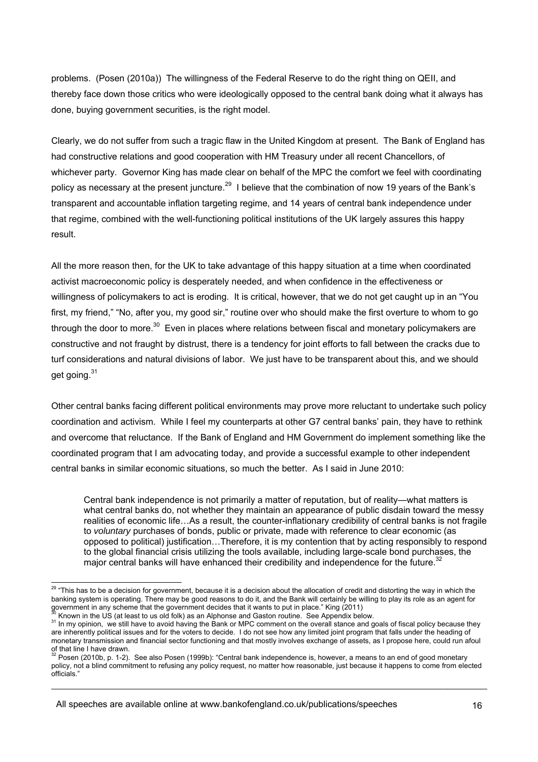problems. (Posen (2010a)) The willingness of the Federal Reserve to do the right thing on QEII, and thereby face down those critics who were ideologically opposed to the central bank doing what it always has done, buying government securities, is the right model.

Clearly, we do not suffer from such a tragic flaw in the United Kingdom at present. The Bank of England has had constructive relations and good cooperation with HM Treasury under all recent Chancellors, of whichever party. Governor King has made clear on behalf of the MPC the comfort we feel with coordinating policy as necessary at the present juncture.<sup>29</sup> I believe that the combination of now 19 years of the Bank's transparent and accountable inflation targeting regime, and 14 years of central bank independence under that regime, combined with the well-functioning political institutions of the UK largely assures this happy result.

All the more reason then, for the UK to take advantage of this happy situation at a time when coordinated activist macroeconomic policy is desperately needed, and when confidence in the effectiveness or willingness of policymakers to act is eroding. It is critical, however, that we do not get caught up in an "You first, my friend," "No, after you, my good sir," routine over who should make the first overture to whom to go through the door to more.<sup>30</sup> Even in places where relations between fiscal and monetary policymakers are constructive and not fraught by distrust, there is a tendency for joint efforts to fall between the cracks due to turf considerations and natural divisions of labor. We just have to be transparent about this, and we should get going.<sup>31</sup>

Other central banks facing different political environments may prove more reluctant to undertake such policy coordination and activism. While I feel my counterparts at other G7 central banks' pain, they have to rethink and overcome that reluctance. If the Bank of England and HM Government do implement something like the coordinated program that I am advocating today, and provide a successful example to other independent central banks in similar economic situations, so much the better. As I said in June 2010:

Central bank independence is not primarily a matter of reputation, but of reality—what matters is what central banks do, not whether they maintain an appearance of public disdain toward the messy realities of economic life…As a result, the counter-inflationary credibility of central banks is not fragile to *voluntary* purchases of bonds, public or private, made with reference to clear economic (as opposed to political) justification…Therefore, it is my contention that by acting responsibly to respond to the global financial crisis utilizing the tools available, including large-scale bond purchases, the major central banks will have enhanced their credibility and independence for the future.<sup>32</sup>

l  $^{29}$  "This has to be a decision for government, because it is a decision about the allocation of credit and distorting the way in which the banking system is operating. There may be good reasons to do it, and the Bank will certainly be willing to play its role as an agent for government in any scheme that the government decides that it wants to put in place."

<sup>&</sup>lt;sup>30</sup> Known in the US (at least to us old folk) as an Alphonse and Gaston routine. See Appendix below.<br><sup>31</sup> In my opinion, we still have to avoid having the Bank or MPC comment on the overall stance and goals of fiscal poli are inherently political issues and for the voters to decide. I do not see how any limited joint program that falls under the heading of monetary transmission and financial sector functioning and that mostly involves exchange of assets, as I propose here, could run afoul

of that line I have drawn.<br><sup>32</sup> Posen (2010b, p. 1-2). See also Posen (1999b): "Central bank independence is, however, a means to an end of good monetary policy, not a blind commitment to refusing any policy request, no matter how reasonable, just because it happens to come from elected officials."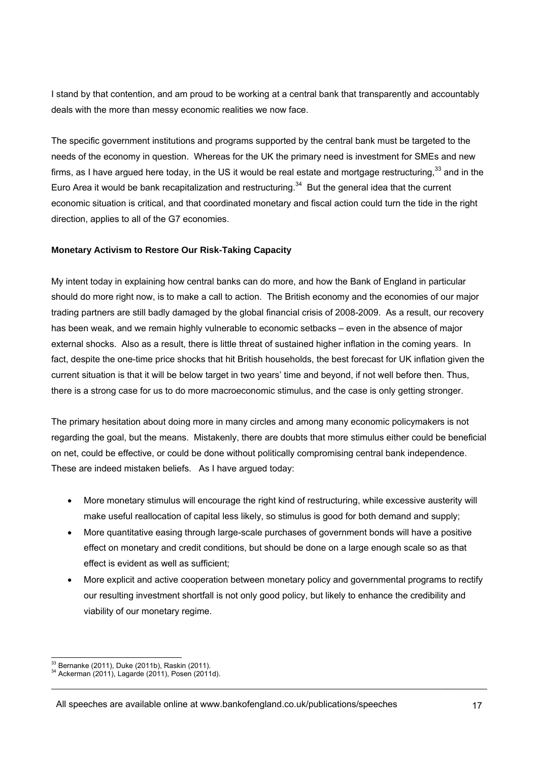I stand by that contention, and am proud to be working at a central bank that transparently and accountably deals with the more than messy economic realities we now face.

The specific government institutions and programs supported by the central bank must be targeted to the needs of the economy in question. Whereas for the UK the primary need is investment for SMEs and new firms, as I have argued here today, in the US it would be real estate and mortgage restructuring,  $33$  and in the Euro Area it would be bank recapitalization and restructuring.<sup>34</sup> But the general idea that the current economic situation is critical, and that coordinated monetary and fiscal action could turn the tide in the right direction, applies to all of the G7 economies.

# **Monetary Activism to Restore Our Risk-Taking Capacity**

My intent today in explaining how central banks can do more, and how the Bank of England in particular should do more right now, is to make a call to action. The British economy and the economies of our major trading partners are still badly damaged by the global financial crisis of 2008-2009. As a result, our recovery has been weak, and we remain highly vulnerable to economic setbacks – even in the absence of major external shocks. Also as a result, there is little threat of sustained higher inflation in the coming years. In fact, despite the one-time price shocks that hit British households, the best forecast for UK inflation given the current situation is that it will be below target in two years' time and beyond, if not well before then. Thus, there is a strong case for us to do more macroeconomic stimulus, and the case is only getting stronger.

The primary hesitation about doing more in many circles and among many economic policymakers is not regarding the goal, but the means. Mistakenly, there are doubts that more stimulus either could be beneficial on net, could be effective, or could be done without politically compromising central bank independence. These are indeed mistaken beliefs. As I have argued today:

- More monetary stimulus will encourage the right kind of restructuring, while excessive austerity will make useful reallocation of capital less likely, so stimulus is good for both demand and supply;
- More quantitative easing through large-scale purchases of government bonds will have a positive effect on monetary and credit conditions, but should be done on a large enough scale so as that effect is evident as well as sufficient;
- More explicit and active cooperation between monetary policy and governmental programs to rectify our resulting investment shortfall is not only good policy, but likely to enhance the credibility and viability of our monetary regime.

<sup>&</sup>lt;sup>33</sup> Bernanke (2011), Duke (2011b), Raskin (2011).

<sup>34</sup> Ackerman (2011), Lagarde (2011), Posen (2011d).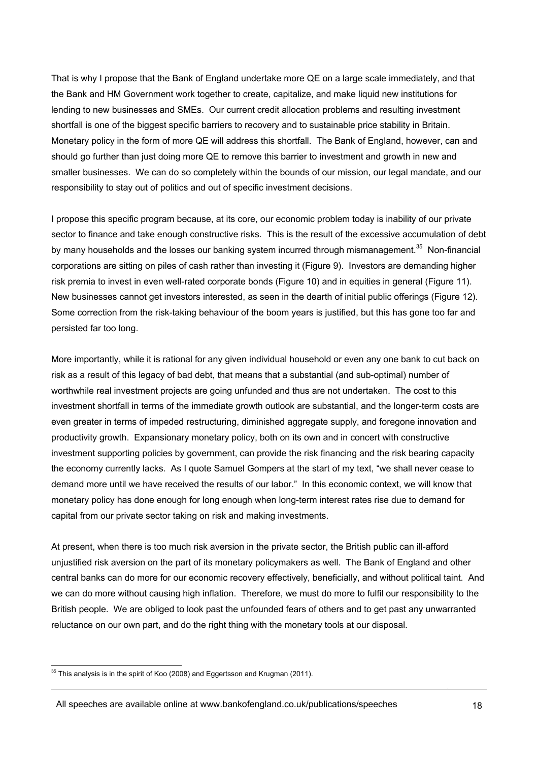That is why I propose that the Bank of England undertake more QE on a large scale immediately, and that the Bank and HM Government work together to create, capitalize, and make liquid new institutions for lending to new businesses and SMEs. Our current credit allocation problems and resulting investment shortfall is one of the biggest specific barriers to recovery and to sustainable price stability in Britain. Monetary policy in the form of more QE will address this shortfall. The Bank of England, however, can and should go further than just doing more QE to remove this barrier to investment and growth in new and smaller businesses. We can do so completely within the bounds of our mission, our legal mandate, and our responsibility to stay out of politics and out of specific investment decisions.

I propose this specific program because, at its core, our economic problem today is inability of our private sector to finance and take enough constructive risks. This is the result of the excessive accumulation of debt by many households and the losses our banking system incurred through mismanagement. $35$  Non-financial corporations are sitting on piles of cash rather than investing it (Figure 9). Investors are demanding higher risk premia to invest in even well-rated corporate bonds (Figure 10) and in equities in general (Figure 11). New businesses cannot get investors interested, as seen in the dearth of initial public offerings (Figure 12). Some correction from the risk-taking behaviour of the boom years is justified, but this has gone too far and persisted far too long.

More importantly, while it is rational for any given individual household or even any one bank to cut back on risk as a result of this legacy of bad debt, that means that a substantial (and sub-optimal) number of worthwhile real investment projects are going unfunded and thus are not undertaken. The cost to this investment shortfall in terms of the immediate growth outlook are substantial, and the longer-term costs are even greater in terms of impeded restructuring, diminished aggregate supply, and foregone innovation and productivity growth. Expansionary monetary policy, both on its own and in concert with constructive investment supporting policies by government, can provide the risk financing and the risk bearing capacity the economy currently lacks. As I quote Samuel Gompers at the start of my text, "we shall never cease to demand more until we have received the results of our labor." In this economic context, we will know that monetary policy has done enough for long enough when long-term interest rates rise due to demand for capital from our private sector taking on risk and making investments.

At present, when there is too much risk aversion in the private sector, the British public can ill-afford unjustified risk aversion on the part of its monetary policymakers as well. The Bank of England and other central banks can do more for our economic recovery effectively, beneficially, and without political taint. And we can do more without causing high inflation. Therefore, we must do more to fulfil our responsibility to the British people. We are obliged to look past the unfounded fears of others and to get past any unwarranted reluctance on our own part, and do the right thing with the monetary tools at our disposal.

All speeches are available online at www.bankofengland.co.uk/publications/speeches

 $35$  This analysis is in the spirit of Koo (2008) and Eggertsson and Krugman (2011).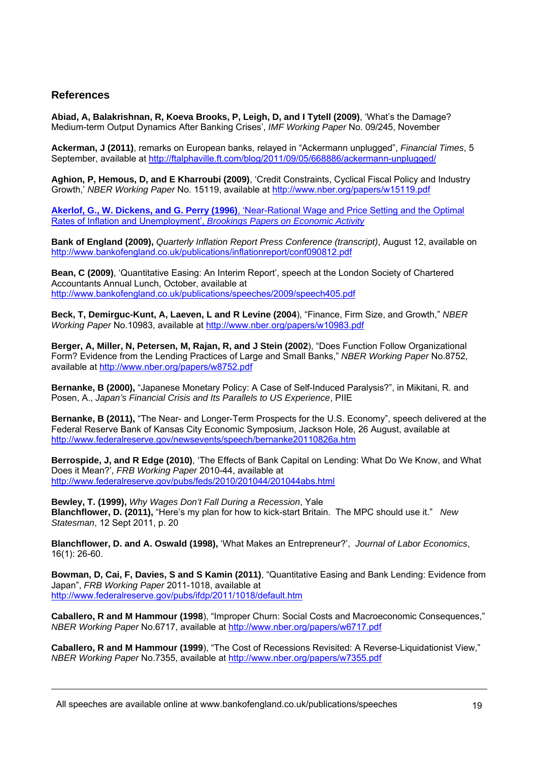# **References**

**Abiad, A, Balakrishnan, R, Koeva Brooks, P, Leigh, D, and I Tytell (2009)**, 'What's the Damage? Medium-term Output Dynamics After Banking Crises', *IMF Working Paper* No. 09/245, November

**Ackerman, J (2011)**, remarks on European banks, relayed in "Ackermann unplugged", *Financial Times*, 5 September, available at http://ftalphaville.ft.com/blog/2011/09/05/668886/ackermann-unplugged/

**Aghion, P, Hemous, D, and E Kharroubi (2009)**, 'Credit Constraints, Cyclical Fiscal Policy and Industry Growth,' *NBER Working Paper* No. 15119, available at http://www.nber.org/papers/w15119.pdf

**Akerlof, G., W. Dickens, and G. Perry (1996)**, 'Near-Rational Wage and Price Setting and the Optimal Rates of Inflation and Unemployment', *Brookings Papers on Economic Activity*

**Bank of England (2009),** *Quarterly Inflation Report Press Conference (transcript)*, August 12, available on http://www.bankofengland.co.uk/publications/inflationreport/conf090812.pdf

**Bean, C (2009)**, 'Quantitative Easing: An Interim Report', speech at the London Society of Chartered Accountants Annual Lunch, October, available at http://www.bankofengland.co.uk/publications/speeches/2009/speech405.pdf

**Beck, T, Demirguc-Kunt, A, Laeven, L and R Levine (2004**), "Finance, Firm Size, and Growth," *NBER Working Paper* No.10983, available at http://www.nber.org/papers/w10983.pdf

**Berger, A, Miller, N, Petersen, M, Rajan, R, and J Stein (2002**), "Does Function Follow Organizational Form? Evidence from the Lending Practices of Large and Small Banks," *NBER Working Paper* No.8752, available at http://www.nber.org/papers/w8752.pdf

**Bernanke, B (2000),** "Japanese Monetary Policy: A Case of Self-Induced Paralysis?", in Mikitani, R. and Posen, A., *Japan's Financial Crisis and Its Parallels to US Experience*, PIIE

**Bernanke, B (2011),** "The Near- and Longer-Term Prospects for the U.S. Economy", speech delivered at the Federal Reserve Bank of Kansas City Economic Symposium, Jackson Hole, 26 August, available at http://www.federalreserve.gov/newsevents/speech/bernanke20110826a.htm

**Berrospide, J, and R Edge (2010)**, 'The Effects of Bank Capital on Lending: What Do We Know, and What Does it Mean?', *FRB Working Paper* 2010-44, available at http://www.federalreserve.gov/pubs/feds/2010/201044/201044abs.html

**Bewley, T. (1999),** *Why Wages Don't Fall During a Recession*, Yale **Blanchflower, D. (2011),** "Here's my plan for how to kick-start Britain. The MPC should use it." *New Statesman*, 12 Sept 2011, p. 20

**Blanchflower, D. and A. Oswald (1998),** 'What Makes an Entrepreneur?', *Journal of Labor Economics*, 16(1): 26-60.

**Bowman, D, Cai, F, Davies, S and S Kamin (2011)**, "Quantitative Easing and Bank Lending: Evidence from Japan", *FRB Working Paper* 2011-1018, available at http://www.federalreserve.gov/pubs/ifdp/2011/1018/default.htm

**Caballero, R and M Hammour (1998**), "Improper Churn: Social Costs and Macroeconomic Consequences," *NBER Working Paper* No.6717, available at http://www.nber.org/papers/w6717.pdf

**Caballero, R and M Hammour (1999**), "The Cost of Recessions Revisited: A Reverse-Liquidationist View," *NBER Working Paper* No.7355, available at http://www.nber.org/papers/w7355.pdf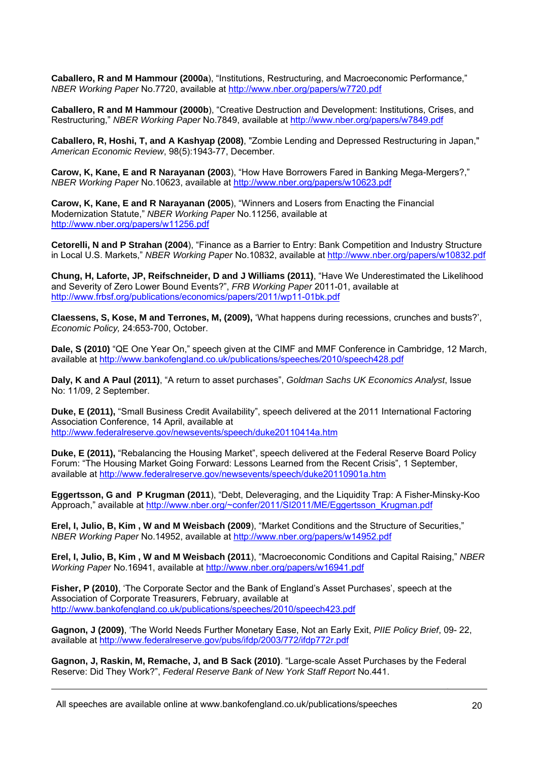**Caballero, R and M Hammour (2000a**), "Institutions, Restructuring, and Macroeconomic Performance," *NBER Working Paper* No.7720, available at http://www.nber.org/papers/w7720.pdf

**Caballero, R and M Hammour (2000b**), "Creative Destruction and Development: Institutions, Crises, and Restructuring," *NBER Working Paper* No.7849, available at http://www.nber.org/papers/w7849.pdf

**Caballero, R, Hoshi, T, and A Kashyap (2008)**, "Zombie Lending and Depressed Restructuring in Japan," *American Economic Review*, 98(5):1943-77, December.

**Carow, K, Kane, E and R Narayanan (2003**), "How Have Borrowers Fared in Banking Mega-Mergers?," *NBER Working Paper* No.10623, available at http://www.nber.org/papers/w10623.pdf

**Carow, K, Kane, E and R Narayanan (2005**), "Winners and Losers from Enacting the Financial Modernization Statute," *NBER Working Paper* No.11256, available at http://www.nber.org/papers/w11256.pdf

**Cetorelli, N and P Strahan (2004**), "Finance as a Barrier to Entry: Bank Competition and Industry Structure in Local U.S. Markets," *NBER Working Paper* No.10832, available at http://www.nber.org/papers/w10832.pdf

**Chung, H, Laforte, JP, Reifschneider, D and J Williams (2011)**, "Have We Underestimated the Likelihood and Severity of Zero Lower Bound Events?", *FRB Working Paper* 2011-01, available at http://www.frbsf.org/publications/economics/papers/2011/wp11-01bk.pdf

**Claessens, S, Kose, M and Terrones, M, (2009),** 'What happens during recessions, crunches and busts?', *Economic Policy,* 24:653-700, October.

**Dale, S (2010)** "QE One Year On," speech given at the CIMF and MMF Conference in Cambridge, 12 March, available at http://www.bankofengland.co.uk/publications/speeches/2010/speech428.pdf

**Daly, K and A Paul (2011)**, "A return to asset purchases", *Goldman Sachs UK Economics Analyst*, Issue No: 11/09, 2 September.

**Duke, E (2011),** "Small Business Credit Availability", speech delivered at the 2011 International Factoring Association Conference, 14 April, available at http://www.federalreserve.gov/newsevents/speech/duke20110414a.htm

Duke, E (2011), "Rebalancing the Housing Market", speech delivered at the Federal Reserve Board Policy Forum: "The Housing Market Going Forward: Lessons Learned from the Recent Crisis", 1 September, available at http://www.federalreserve.gov/newsevents/speech/duke20110901a.htm

**Eggertsson, G and P Krugman (2011**), "Debt, Deleveraging, and the Liquidity Trap: A Fisher-Minsky-Koo Approach," available at http://www.nber.org/~confer/2011/SI2011/ME/Eggertsson\_Krugman.pdf

**Erel, I, Julio, B, Kim , W and M Weisbach (2009**), "Market Conditions and the Structure of Securities," *NBER Working Paper* No.14952, available at http://www.nber.org/papers/w14952.pdf

**Erel, I, Julio, B, Kim , W and M Weisbach (2011**), "Macroeconomic Conditions and Capital Raising," *NBER Working Paper* No.16941, available at http://www.nber.org/papers/w16941.pdf

**Fisher, P (2010)**, 'The Corporate Sector and the Bank of England's Asset Purchases', speech at the Association of Corporate Treasurers, February, available at http://www.bankofengland.co.uk/publications/speeches/2010/speech423.pdf

**Gagnon, J (2009)**, 'The World Needs Further Monetary Ease, Not an Early Exit, *PIIE Policy Brief*, 09- 22, available at http://www.federalreserve.gov/pubs/ifdp/2003/772/ifdp772r.pdf

**Gagnon, J, Raskin, M, Remache, J, and B Sack (2010)**. "Large-scale Asset Purchases by the Federal Reserve: Did They Work?", *Federal Reserve Bank of New York Staff Report* No.441.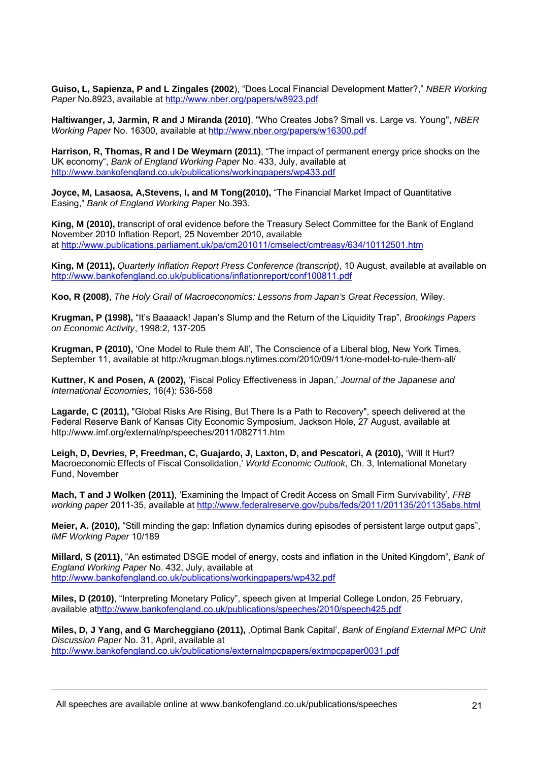**Guiso, L, Sapienza, P and L Zingales (2002**), "Does Local Financial Development Matter?," *NBER Working Paper* No.8923, available at http://www.nber.org/papers/w8923.pdf

**Haltiwanger, J, Jarmin, R and J Miranda (2010)**, "Who Creates Jobs? Small vs. Large vs. Young", *NBER Working Paper* No. 16300, available at http://www.nber.org/papers/w16300.pdf

**Harrison, R, Thomas, R and I De Weymarn (2011)**, "The impact of permanent energy price shocks on the UK economy", *Bank of England Working Paper* No. 433, July, available at http://www.bankofengland.co.uk/publications/workingpapers/wp433.pdf

Joyce, M, Lasaosa, A, Stevens, I, and M Tong(2010), "The Financial Market Impact of Quantitative Easing," *Bank of England Working Paper* No.393.

**King, M (2010),** transcript of oral evidence before the Treasury Select Committee for the Bank of England November 2010 Inflation Report, 25 November 2010, available at http://www.publications.parliament.uk/pa/cm201011/cmselect/cmtreasy/634/10112501.htm

**King, M (2011),** *Quarterly Inflation Report Press Conference (transcript)*, 10 August, available at available on http://www.bankofengland.co.uk/publications/inflationreport/conf100811.pdf

**Koo, R (2008)**, *The Holy Grail of Macroeconomics: Lessons from Japan's Great Recession*, Wiley.

**Krugman, P (1998),** "It's Baaaack! Japan's Slump and the Return of the Liquidity Trap", *Brookings Papers on Economic Activity*, 1998:2, 137-205

**Krugman, P (2010),** 'One Model to Rule them All', The Conscience of a Liberal blog, New York Times, September 11, available at http://krugman.blogs.nytimes.com/2010/09/11/one-model-to-rule-them-all/

**Kuttner, K and Posen, A (2002),** 'Fiscal Policy Effectiveness in Japan,' *Journal of the Japanese and International Economies*, 16(4): 536-558

**Lagarde, C (2011),** "Global Risks Are Rising, But There Is a Path to Recovery", speech delivered at the Federal Reserve Bank of Kansas City Economic Symposium, Jackson Hole, 27 August, available at http://www.imf.org/external/np/speeches/2011/082711.htm

**Leigh, D, Devries, P, Freedman, C, Guajardo, J, Laxton, D, and Pescatori, A (2010),** 'Will It Hurt? Macroeconomic Effects of Fiscal Consolidation,' *World Economic Outlook*, Ch. 3, International Monetary Fund, November

**Mach, T and J Wolken (2011)**, 'Examining the Impact of Credit Access on Small Firm Survivability', *FRB working paper* 2011-35, available at http://www.federalreserve.gov/pubs/feds/2011/201135/201135abs.html

**Meier, A. (2010),** "Still minding the gap: Inflation dynamics during episodes of persistent large output gaps", *IMF Working Paper* 10/189

**Millard, S (2011)**, "An estimated DSGE model of energy, costs and inflation in the United Kingdom", *Bank of England Working Paper* No. 432, July, available at http://www.bankofengland.co.uk/publications/workingpapers/wp432.pdf

**Miles, D (2010)**, "Interpreting Monetary Policy", speech given at Imperial College London, 25 February, available athttp://www.bankofengland.co.uk/publications/speeches/2010/speech425.pdf

**Miles, D, J Yang, and G Marcheggiano (2011),** 'Optimal Bank Capital', *Bank of England External MPC Unit Discussion Paper* No. 31, April, available at http://www.bankofengland.co.uk/publications/externalmpcpapers/extmpcpaper0031.pdf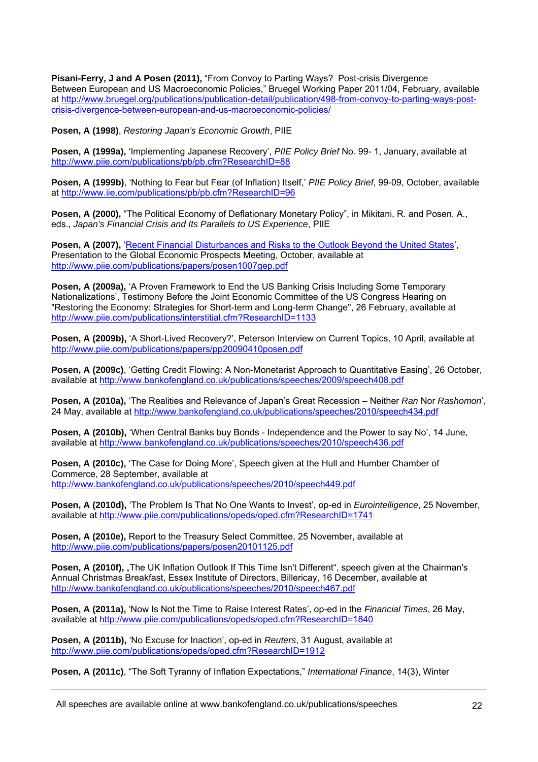**Pisani-Ferry, J and A Posen (2011),** "From Convoy to Parting Ways? Post-crisis Divergence Between European and US Macroeconomic Policies," Bruegel Working Paper 2011/04, February, available at http://www.bruegel.org/publications/publication-detail/publication/498-from-convoy-to-parting-ways-postcrisis-divergence-between-european-and-us-macroeconomic-policies/

**Posen, A (1998)**, *Restoring Japan's Economic Growth*, PIIE

**Posen, A (1999a),** 'Implementing Japanese Recovery', *PIIE Policy Brief* No. 99- 1, January, available at http://www.piie.com/publications/pb/pb.cfm?ResearchID=88

**Posen, A (1999b)**, 'Nothing to Fear but Fear (of Inflation) Itself,' *PIIE Policy Brief*, 99-09, October, available at http://www.iie.com/publications/pb/pb.cfm?ResearchID=96

**Posen, A (2000),** "The Political Economy of Deflationary Monetary Policy", in Mikitani, R. and Posen, A., eds., *Japan's Financial Crisis and Its Parallels to US Experience*, PIIE

Posen, A (2007), 'Recent Financial Disturbances and Risks to the Outlook Beyond the United States', Presentation to the Global Economic Prospects Meeting, October, available at http://www.piie.com/publications/papers/posen1007gep.pdf

**Posen, A (2009a),** 'A Proven Framework to End the US Banking Crisis Including Some Temporary Nationalizations', Testimony Before the Joint Economic Committee of the US Congress Hearing on "Restoring the Economy: Strategies for Short-term and Long-term Change", 26 February, available at http://www.piie.com/publications/interstitial.cfm?ResearchID=1133

**Posen, A (2009b),** 'A Short-Lived Recovery?', Peterson Interview on Current Topics, 10 April, available at http://www.piie.com/publications/papers/pp20090410posen.pdf

**Posen, A (2009c)**, 'Getting Credit Flowing: A Non-Monetarist Approach to Quantitative Easing', 26 October, available at http://www.bankofengland.co.uk/publications/speeches/2009/speech408.pdf

**Posen, A (2010a),** 'The Realities and Relevance of Japan's Great Recession – Neither *Ran* Nor *Rashomon*', 24 May, available at http://www.bankofengland.co.uk/publications/speeches/2010/speech434.pdf

**Posen, A (2010b), 'When Central Banks buy Bonds - Independence and the Power to say No', 14 June,** available at http://www.bankofengland.co.uk/publications/speeches/2010/speech436.pdf

**Posen, A (2010c),** 'The Case for Doing More', Speech given at the Hull and Humber Chamber of Commerce, 28 September, available at http://www.bankofengland.co.uk/publications/speeches/2010/speech449.pdf

**Posen, A (2010d),** 'The Problem Is That No One Wants to Invest', op-ed in *Eurointelligence*, 25 November, available at http://www.piie.com/publications/opeds/oped.cfm?ResearchID=1741

**Posen, A (2010e),** Report to the Treasury Select Committee, 25 November, available at http://www.piie.com/publications/papers/posen20101125.pdf

Posen, A (2010f), "The UK Inflation Outlook If This Time Isn't Different", speech given at the Chairman's Annual Christmas Breakfast, Essex Institute of Directors, Billericay, 16 December, available at http://www.bankofengland.co.uk/publications/speeches/2010/speech467.pdf

**Posen, A (2011a),** 'Now Is Not the Time to Raise Interest Rates', op-ed in the *Financial Times*, 26 May, available at http://www.piie.com/publications/opeds/oped.cfm?ResearchID=1840

**Posen, A (2011b),** 'No Excuse for Inaction', op-ed in *Reuters*, 31 August, available at http://www.piie.com/publications/opeds/oped.cfm?ResearchID=1912

**Posen, A (2011c)**, "The Soft Tyranny of Inflation Expectations," *International Finance*, 14(3), Winter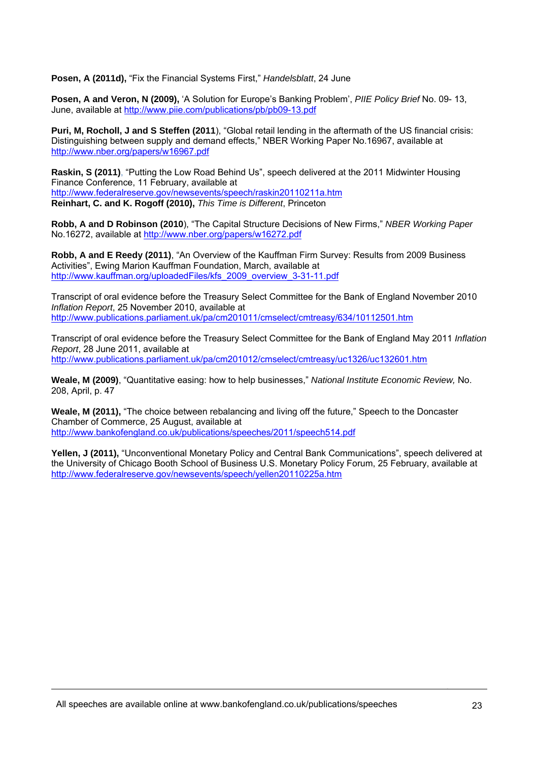**Posen, A (2011d),** "Fix the Financial Systems First," *Handelsblatt*, 24 June

**Posen, A and Veron, N (2009),** 'A Solution for Europe's Banking Problem', *PIIE Policy Brief* No. 09- 13, June, available at http://www.piie.com/publications/pb/pb09-13.pdf

**Puri, M, Rocholl, J and S Steffen (2011**), "Global retail lending in the aftermath of the US financial crisis: Distinguishing between supply and demand effects," NBER Working Paper No.16967, available at http://www.nber.org/papers/w16967.pdf

**Raskin, S (2011)**, "Putting the Low Road Behind Us", speech delivered at the 2011 Midwinter Housing Finance Conference, 11 February, available at http://www.federalreserve.gov/newsevents/speech/raskin20110211a.htm **Reinhart, C. and K. Rogoff (2010),** *This Time is Different*, Princeton

**Robb, A and D Robinson (2010**), "The Capital Structure Decisions of New Firms," *NBER Working Paper* No.16272, available at http://www.nber.org/papers/w16272.pdf

**Robb, A and E Reedy (2011)**, "An Overview of the Kauffman Firm Survey: Results from 2009 Business Activities", Ewing Marion Kauffman Foundation, March, available at http://www.kauffman.org/uploadedFiles/kfs\_2009\_overview\_3-31-11.pdf

Transcript of oral evidence before the Treasury Select Committee for the Bank of England November 2010 *Inflation Report*, 25 November 2010, available at http://www.publications.parliament.uk/pa/cm201011/cmselect/cmtreasy/634/10112501.htm

Transcript of oral evidence before the Treasury Select Committee for the Bank of England May 2011 *Inflation Report*, 28 June 2011, available at http://www.publications.parliament.uk/pa/cm201012/cmselect/cmtreasy/uc1326/uc132601.htm

**Weale, M (2009)**, "Quantitative easing: how to help businesses," *National Institute Economic Review,* No. 208, April, p. 47

**Weale, M (2011),** "The choice between rebalancing and living off the future," Speech to the Doncaster Chamber of Commerce, 25 August, available at http://www.bankofengland.co.uk/publications/speeches/2011/speech514.pdf

**Yellen, J (2011).** "Unconventional Monetary Policy and Central Bank Communications", speech delivered at the University of Chicago Booth School of Business U.S. Monetary Policy Forum, 25 February, available at http://www.federalreserve.gov/newsevents/speech/yellen20110225a.htm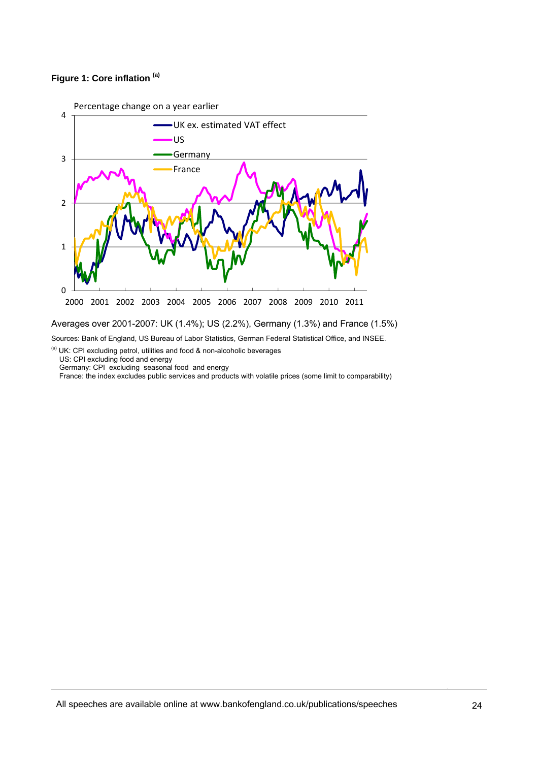# **Figure 1: Core inflation (a)**



Averages over 2001-2007: UK (1.4%); US (2.2%), Germany (1.3%) and France (1.5%) Sources: Bank of England, US Bureau of Labor Statistics, German Federal Statistical Office, and INSEE.

 $\alpha$ <sup>(a)</sup> UK: CPI excluding petrol, utilities and food & non-alcoholic beverages US: CPI excluding food and energy

Germany: CPI excluding seasonal food and energy

France: the index excludes public services and products with volatile prices (some limit to comparability)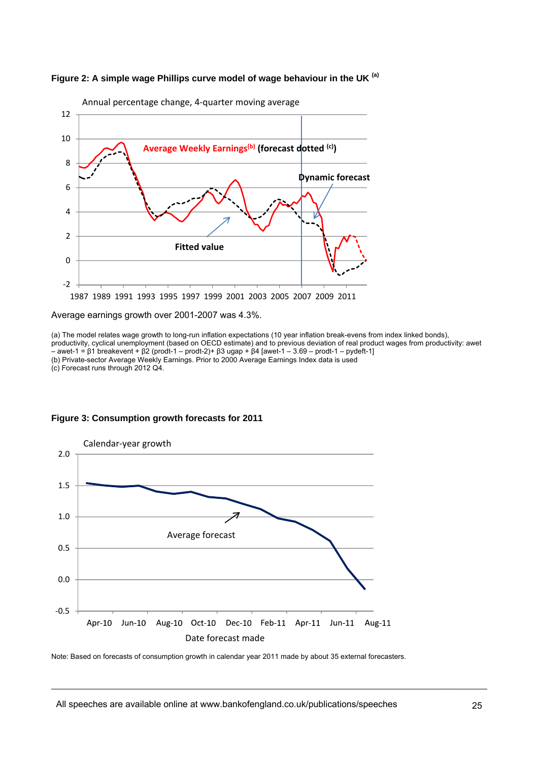



Annual percentage change, 4‐quarter moving average

#### Average earnings growth over 2001-2007 was 4.3%.

(a) The model relates wage growth to long-run inflation expectations (10 year inflation break-evens from index linked bonds), productivity, cyclical unemployment (based on OECD estimate) and to previous deviation of real product wages from productivity: awet – awet-1 = β1 breakevent + β2 (prodt-1 – prodt-2)+ β3 ugap + β4 [awet-1 – 3.69 – prodt-1 – pydeft-1] (b) Private-sector Average Weekly Earnings. Prior to 2000 Average Earnings Index data is used (c) Forecast runs through 2012 Q4.





Note: Based on forecasts of consumption growth in calendar year 2011 made by about 35 external forecasters.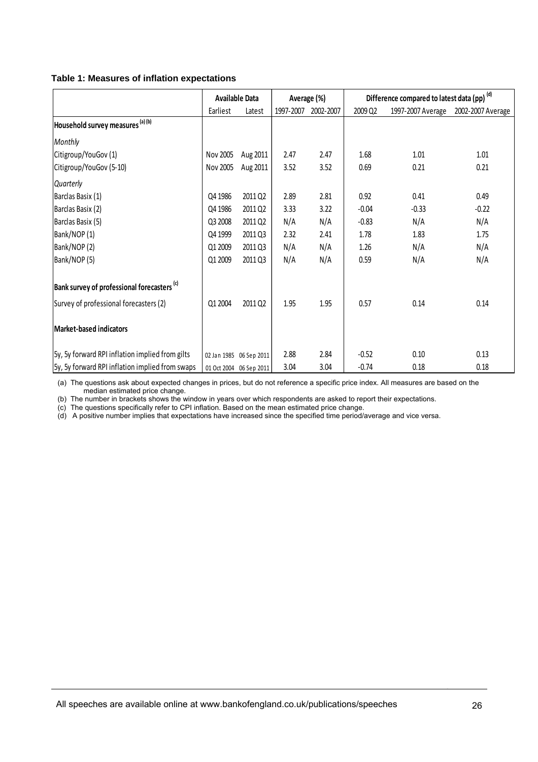### **Table 1: Measures of inflation expectations**

|                                                        | <b>Available Data</b> |                         | Average (%) |           | Difference compared to latest data (pp) (d) |                   |                   |
|--------------------------------------------------------|-----------------------|-------------------------|-------------|-----------|---------------------------------------------|-------------------|-------------------|
|                                                        | Earliest              | Latest                  | 1997-2007   | 2002-2007 | 2009 Q2                                     | 1997-2007 Average | 2002-2007 Average |
| Household survey measures (a) (b)                      |                       |                         |             |           |                                             |                   |                   |
| Monthly                                                |                       |                         |             |           |                                             |                   |                   |
| Citigroup/YouGov (1)                                   | Nov 2005              | Aug 2011                | 2.47        | 2.47      | 1.68                                        | 1.01              | 1.01              |
| Citigroup/YouGov (5-10)                                | Nov 2005              | Aug 2011                | 3.52        | 3.52      | 0.69                                        | 0.21              | 0.21              |
| Quarterly                                              |                       |                         |             |           |                                             |                   |                   |
| Barclas Basix (1)                                      | Q4 1986               | 2011 Q2                 | 2.89        | 2.81      | 0.92                                        | 0.41              | 0.49              |
| Barclas Basix (2)                                      | Q4 1986               | 2011 Q2                 | 3.33        | 3.22      | $-0.04$                                     | $-0.33$           | $-0.22$           |
| Barclas Basix (5)                                      | Q3 2008               | 2011 Q2                 | N/A         | N/A       | $-0.83$                                     | N/A               | N/A               |
| Bank/NOP (1)                                           | Q4 1999               | 2011 Q3                 | 2.32        | 2.41      | 1.78                                        | 1.83              | 1.75              |
| Bank/NOP(2)                                            | Q1 2009               | 2011 Q3                 | N/A         | N/A       | 1.26                                        | N/A               | N/A               |
| Bank/NOP (5)                                           | Q1 2009               | 2011 Q3                 | N/A         | N/A       | 0.59                                        | N/A               | N/A               |
| Bank survey of professional forecasters <sup>(c)</sup> |                       |                         |             |           |                                             |                   |                   |
| Survey of professional forecasters (2)                 | Q1 2004               | 2011 Q2                 | 1.95        | 1.95      | 0.57                                        | 0.14              | 0.14              |
| <b>Market-based indicators</b>                         |                       |                         |             |           |                                             |                   |                   |
| 5y, 5y forward RPI inflation implied from gilts        |                       | 02 Jan 1985 06 Sep 2011 | 2.88        | 2.84      | $-0.52$                                     | 0.10              | 0.13              |
| 5y, 5y forward RPI inflation implied from swaps        |                       | 01 Oct 2004 06 Sep 2011 | 3.04        | 3.04      | $-0.74$                                     | 0.18              | 0.18              |

(a) The questions ask about expected changes in prices, but do not reference a specific price index. All measures are based on the median estimated price change.

(b) The number in brackets shows the window in years over which respondents are asked to report their expectations.

(c) The questions specifically refer to CPI inflation. Based on the mean estimated price change.

(d) A positive number implies that expectations have increased since the specified time period/average and vice versa.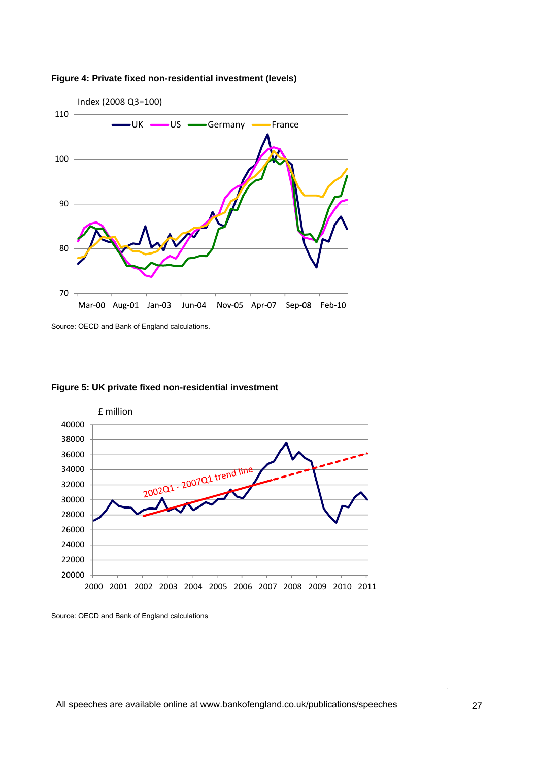



Source: OECD and Bank of England calculations.





Source: OECD and Bank of England calculations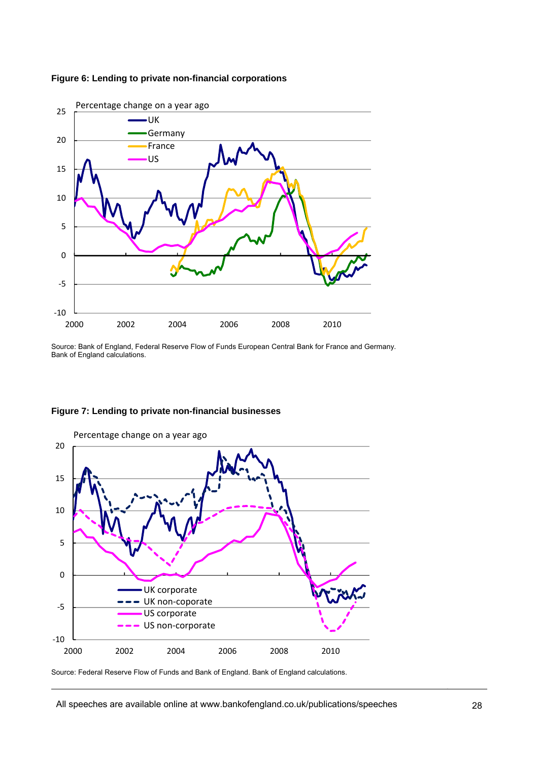

### **Figure 6: Lending to private non-financial corporations**

Source: Bank of England, Federal Reserve Flow of Funds European Central Bank for France and Germany. Bank of England calculations.



# **Figure 7: Lending to private non-financial businesses**

Source: Federal Reserve Flow of Funds and Bank of England. Bank of England calculations.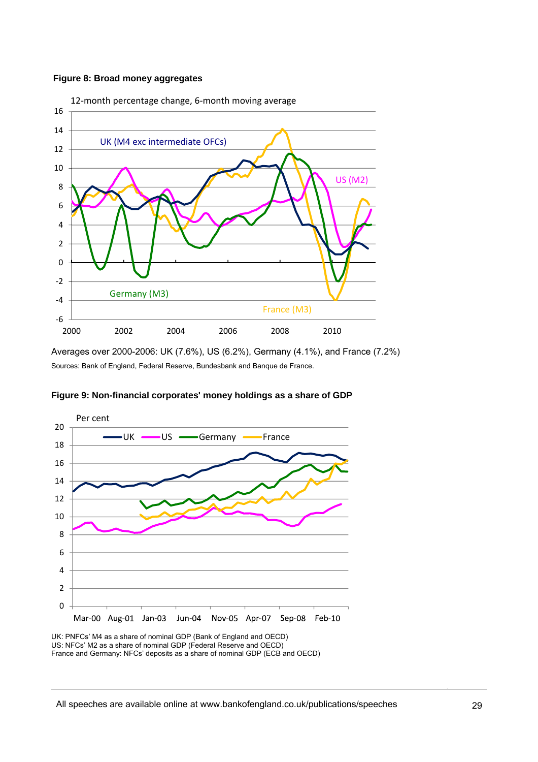### **Figure 8: Broad money aggregates**



Averages over 2000-2006: UK (7.6%), US (6.2%), Germany (4.1%), and France (7.2%) Sources: Bank of England, Federal Reserve, Bundesbank and Banque de France.



**Figure 9: Non-financial corporates' money holdings as a share of GDP** 

UK: PNFCs' M4 as a share of nominal GDP (Bank of England and OECD) US: NFCs' M2 as a share of nominal GDP (Federal Reserve and OECD) France and Germany: NFCs' deposits as a share of nominal GDP (ECB and OECD)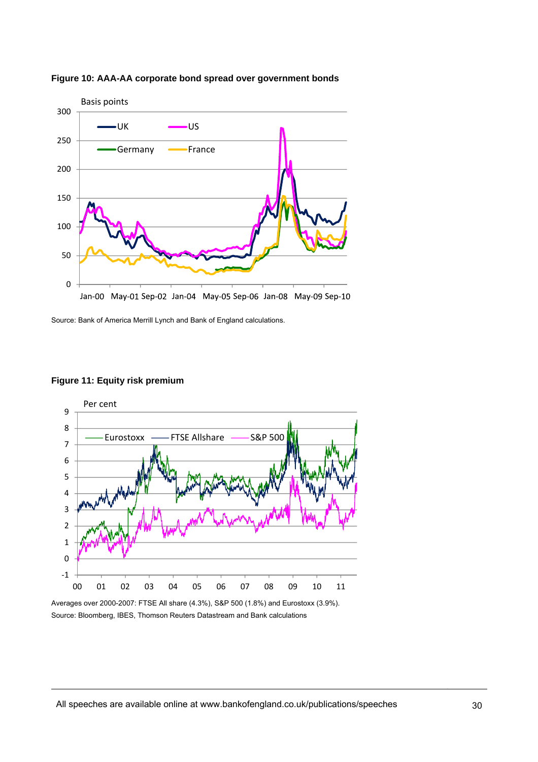

**Figure 10: AAA-AA corporate bond spread over government bonds** 

Source: Bank of America Merrill Lynch and Bank of England calculations.



# **Figure 11: Equity risk premium**

Averages over 2000-2007: FTSE All share (4.3%), S&P 500 (1.8%) and Eurostoxx (3.9%). Source: Bloomberg, IBES, Thomson Reuters Datastream and Bank calculations